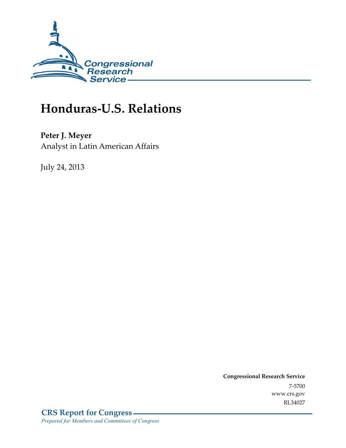

# **Honduras-U.S. Relations**

Peter J. Meyer Analyst in Latin American Affairs

July 24, 2013

**Congressional Research Service** 7-5700 www.crs.gov RL34027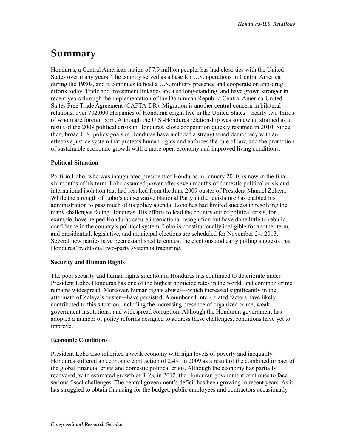# Summary

Honduras, a Central American nation of 7.9 million people, has had close ties with the United States over many years. The country served as a base for U.S. operations in Central America during the 1980s, and it continues to host a U.S. military presence and cooperate on anti-drug efforts today. Trade and investment linkages are also long-standing, and have grown stronger in recent years through the implementation of the Dominican Republic-Central America-United States Free Trade Agreement (CAFTA-DR). Migration is another central concern in bilateral relations; over 702,000 Hispanics of Honduran origin live in the United States—nearly two-thirds of whom are foreign born. Although the U.S.-Honduras relationship was somewhat strained as a result of the 2009 political crisis in Honduras, close cooperation quickly resumed in 2010. Since then, broad U.S. policy goals in Honduras have included a strengthened democracy with an effective justice system that protects human rights and enforces the rule of law, and the promotion of sustainable economic growth with a more open economy and improved living conditions.

#### **Political Situation**

Porfirio Lobo, who was inaugurated president of Honduras in January 2010, is now in the final six months of his term. Lobo assumed power after seven months of domestic political crisis and international isolation that had resulted from the June 2009 ouster of President Manuel Zelaya. While the strength of Lobo's conservative National Party in the legislature has enabled his administration to pass much of its policy agenda, Lobo has had limited success in resolving the many challenges facing Honduras. His efforts to lead the country out of political crisis, for example, have helped Honduras secure international recognition but have done little to rebuild confidence in the country's political system. Lobo is constitutionally ineligible for another term, and presidential, legislative, and municipal elections are scheduled for November 24, 2013. Several new parties have been established to contest the elections and early polling suggests that Honduras' traditional two-party system is fracturing.

#### **Security and Human Rights**

The poor security and human rights situation in Honduras has continued to deteriorate under President Lobo. Honduras has one of the highest homicide rates in the world, and common crime remains widespread. Moreover, human rights abuses—which increased significantly in the aftermath of Zelaya's ouster—have persisted. A number of inter-related factors have likely contributed to this situation, including the increasing presence of organized crime, weak government institutions, and widespread corruption. Although the Honduran government has adopted a number of policy reforms designed to address these challenges, conditions have yet to improve.

#### **Economic Conditions**

President Lobo also inherited a weak economy with high levels of poverty and inequality. Honduras suffered an economic contraction of 2.4% in 2009 as a result of the combined impact of the global financial crisis and domestic political crisis. Although the economy has partially recovered, with estimated growth of 3.3% in 2012, the Honduran government continues to face serious fiscal challenges. The central government's deficit has been growing in recent years. As it has struggled to obtain financing for the budget, public employees and contractors occasionally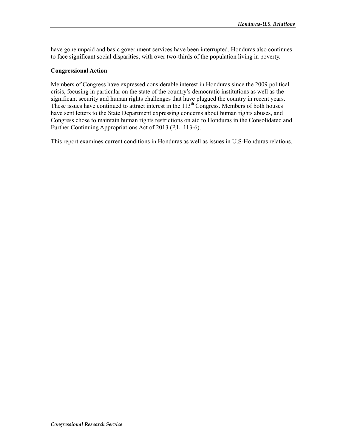have gone unpaid and basic government services have been interrupted. Honduras also continues to face significant social disparities, with over two-thirds of the population living in poverty.

#### **Congressional Action**

Members of Congress have expressed considerable interest in Honduras since the 2009 political crisis, focusing in particular on the state of the country's democratic institutions as well as the significant security and human rights challenges that have plagued the country in recent years. These issues have continued to attract interest in the 113<sup>th</sup> Congress. Members of both houses have sent letters to the State Department expressing concerns about human rights abuses, and Congress chose to maintain human rights restrictions on aid to Honduras in the Consolidated and Further Continuing Appropriations Act of 2013 (P.L. 113-6).

This report examines current conditions in Honduras as well as issues in U.S-Honduras relations.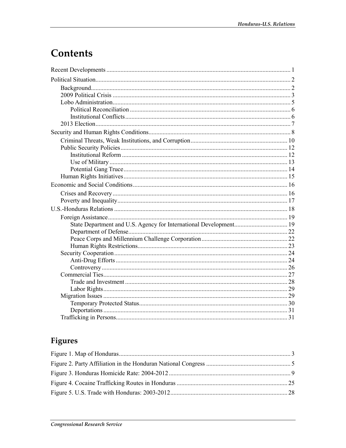# Contents

## Figures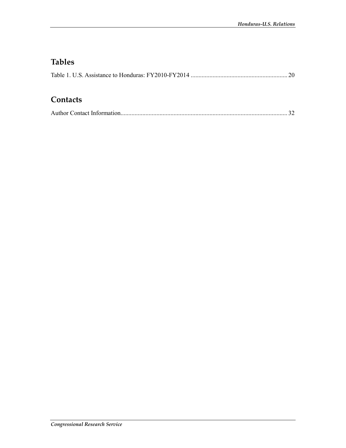## **Tables**

## Contacts

|--|--|--|--|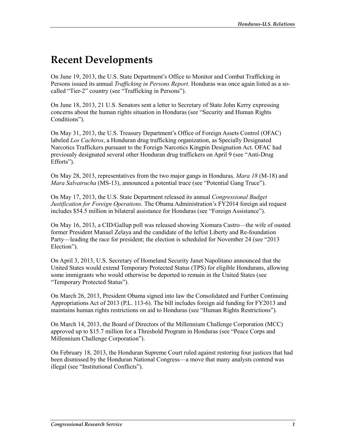## **Recent Developments**

On June 19, 2013, the U.S. State Department's Office to Monitor and Combat Trafficking in Persons issued its annual Trafficking in Persons Report. Honduras was once again listed as a socalled "Tier-2" country (see "Trafficking in Persons").

On June 18, 2013, 21 U.S. Senators sent a letter to Secretary of State John Kerry expressing concerns about the human rights situation in Honduras (see "Security and Human Rights" Conditions").

On May 31, 2013, the U.S. Treasury Department's Office of Foreign Assets Control (OFAC) labeled Los Cachiros, a Honduran drug trafficking organization, as Specially Designated Narcotics Traffickers pursuant to the Foreign Narcotics Kingpin Designation Act. OFAC had previously designated several other Honduran drug traffickers on April 9 (see "Anti-Drug Efforts").

On May 28, 2013, representatives from the two major gangs in Honduras, *Mara 18* (M-18) and *Mara Salvatrucha* (MS-13), announced a potential truce (see "Potential Gang Truce").

On May 17, 2013, the U.S. State Department released its annual Congressional Budget Justification for Foreign Operations. The Obama Administration's FY2014 foreign aid request includes \$54.5 million in bilateral assistance for Honduras (see "Foreign Assistance").

On May 16, 2013, a CID/Gallup poll was released showing Xiomara Castro—the wife of ousted former President Manuel Zelaya and the candidate of the leftist Liberty and Re-foundation Party—leading the race for president; the election is scheduled for November 24 (see "2013") Election").

On April 3, 2013, U.S. Secretary of Homeland Security Janet Napolitano announced that the United States would extend Temporary Protected Status (TPS) for eligible Hondurans, allowing some immigrants who would otherwise be deported to remain in the United States (see "Temporary Protected Status").

On March 26, 2013, President Obama signed into law the Consolidated and Further Continuing Appropriations Act of 2013 (P.L. 113-6). The bill includes foreign aid funding for FY2013 and maintains human rights restrictions on aid to Honduras (see "Human Rights Restrictions").

On March 14, 2013, the Board of Directors of the Millennium Challenge Corporation (MCC) approved up to \$15.7 million for a Threshold Program in Honduras (see "Peace Corps and Millennium Challenge Corporation").

On February 18, 2013, the Honduran Supreme Court ruled against restoring four justices that had been dismissed by the Honduran National Congress—a move that many analysts contend was illegal (see "Institutional Conflicts").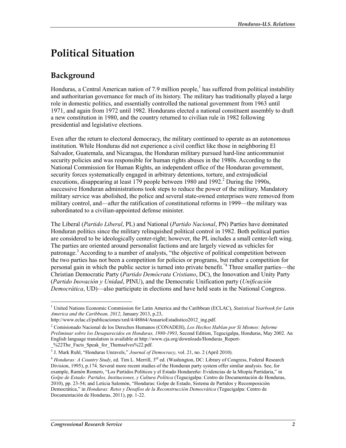# **Political Situation**

## Background

Honduras, a Central American nation of 7.9 million people,<sup>1</sup> has suffered from political instability and authoritarian governance for much of its history. The military has traditionally played a large role in domestic politics, and essentially controlled the national government from 1963 until 1971, and again from 1972 until 1982. Hondurans elected a national constituent assembly to draft a new constitution in 1980, and the country returned to civilian rule in 1982 following presidential and legislative elections.

Even after the return to electoral democracy, the military continued to operate as an autonomous institution. While Honduras did not experience a civil conflict like those in neighboring El Salvador, Guatemala, and Nicaragua, the Honduran military pursued hard-line anticommunist security policies and was responsible for human rights abuses in the 1980s. According to the National Commission for Human Rights, an independent office of the Honduran government, security forces systematically engaged in arbitrary detentions, torture, and extrajudicial executions, disappearing at least 179 people between 1980 and  $1992<sup>2</sup>$  During the 1990s, successive Honduran administrations took steps to reduce the power of the military. Mandatory military service was abolished, the police and several state-owned enterprises were removed from military control, and—after the ratification of constitutional reforms in 1999—the military was subordinated to a civilian-appointed defense minister.

The Liberal (Partido Liberal, PL) and National (Partido Nacional, PN) Parties have dominated Honduran politics since the military relinguished political control in 1982. Both political parties are considered to be ideologically center-right; however, the PL includes a small center-left wing. The parties are oriented around personalist factions and are largely viewed as vehicles for patronage.<sup>3</sup> According to a number of analysts, "the objective of political competition between the two parties has not been a competition for policies or programs, but rather a competition for personal gain in which the public sector is turned into private benefit.<sup>"4</sup> Three smaller parties—the Christian Democratic Party (Partido Demócrata Cristiano, DC), the Innovation and Unity Party (Partido Inovación y Unidad, PINU), and the Democratic Unification party (Unificación *Democrática*, UD)—also participate in elections and have held seats in the National Congress.

<sup>&</sup>lt;sup>1</sup> United Nations Economic Commission for Latin America and the Caribbean (ECLAC), Statistical Yearbook for Latin America and the Caribbean, 2012, January 2013, p.23,

http://www.eclac.cl/publicaciones/xml/4/48864/AnuarioEstadistico2012 ing.pdf.

<sup>&</sup>lt;sup>2</sup> Comisionado Nacional de los Derechos Humanos (CONADEH), Los Hechos Hablan por Sí Mismos: Informe Preliminar sobre los Desaparecidos en Honduras, 1980-1993, Second Edition, Tegucigalpa, Honduras, May 2002, An English language translation is available at http://www.cja.org/downloads/Honduras Report-%22The Facts Speak for Themselves%22.pdf.

<sup>&</sup>lt;sup>3</sup> J. Mark Ruhl, "Honduras Unravels," Journal of Democracy, vol. 21, no. 2 (April 2010).

<sup>&</sup>lt;sup>4</sup> Honduras: A Country Study, ed. Tim L. Merrill,  $3^{rd}$  ed. (Washington, DC: Library of Congress, Federal Research Division, 1995), p.174. Several more recent studies of the Honduran party system offer similar analysis. See, for example, Ramón Romero, "Los Partidos Políticos y el Estado Hondureño: Evidencias de la Miopía Partidaria," in Golpe de Estado: Partidos, Instituciones, y Cultura Política (Tegucigalpa: Centro de Documentación de Honduras, 2010), pp. 23-54; and Leticia Salomón, "Honduras: Golpe de Estado, Sistema de Partidos y Recomposición Democrática," in Honduras: Retos y Desafíos de la Reconstrucción Democrática (Tegucigalpa: Centro de Documentación de Honduras, 2011), pp. 1-22.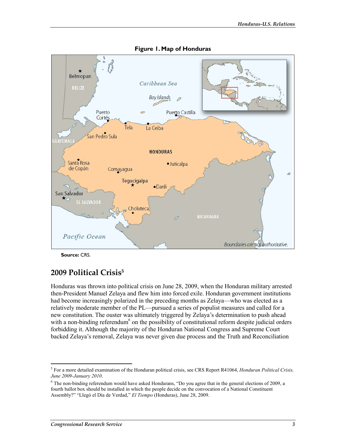

Figure 1. Map of Honduras

Source: CRS.

## 2009 Political Crisis<sup>5</sup>

Honduras was thrown into political crisis on June 28, 2009, when the Honduran military arrested then-President Manuel Zelaya and flew him into forced exile. Honduran government institutions had become increasingly polarized in the preceding months as Zelaya—who was elected as a relatively moderate member of the PL—pursued a series of populist measures and called for a new constitution. The ouster was ultimately triggered by Zelaya's determination to push ahead with a non-binding referendum<sup>6</sup> on the possibility of constitutional reform despite judicial orders forbidding it. Although the majority of the Honduran National Congress and Supreme Court backed Zelaya's removal, Zelaya was never given due process and the Truth and Reconciliation

 $<sup>5</sup>$  For a more detailed examination of the Honduran political crisis, see CRS Report R41064, *Honduran Political Crisis*,</sup> June 2009-January 2010.

 $6$  The non-binding referendum would have asked Hondurans, "Do you agree that in the general elections of 2009, a fourth ballot box should be installed in which the people decide on the convocation of a National Constituent Assembly?" "Llegó el Día de Verdad," El Tiempo (Honduras), June 28, 2009.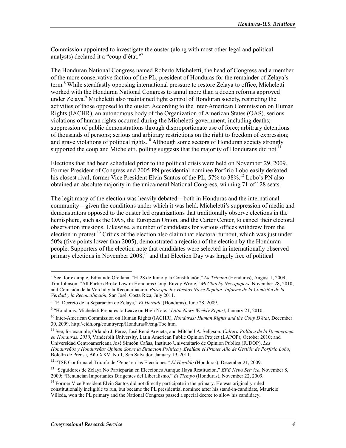Commission appointed to investigate the ouster (along with most other legal and political analysts) declared it a "coup d'état."7

The Honduran National Congress named Roberto Micheletti, the head of Congress and a member of the more conservative faction of the PL, president of Honduras for the remainder of Zelaya's term.<sup>8</sup> While steadfastly opposing international pressure to restore Zelava to office. Micheletti worked with the Honduran National Congress to annul more than a dozen reforms approved under Zelaya.<sup>9</sup> Micheletti also maintained tight control of Honduran society, restricting the activities of those opposed to the ouster. According to the Inter-American Commission on Human Rights (IACHR), an autonomous body of the Organization of American States (OAS), serious violations of human rights occurred during the Micheletti government, including deaths; suppression of public demonstrations through disproportionate use of force; arbitrary detentions of thousands of persons; serious and arbitrary restrictions on the right to freedom of expression; and grave violations of political rights.<sup>10</sup> Although some sectors of Honduran society strongly supported the coup and Micheletti, polling suggests that the majority of Hondurans did not.

Elections that had been scheduled prior to the political crisis were held on November 29, 2009. Former President of Congress and 2005 PN presidential nominee Porfirio Lobo easily defeated his closest rival, former Vice President Elvin Santos of the PL, 57% to 38%.<sup>12</sup> Lobo's PN also obtained an absolute majority in the unicameral National Congress, winning 71 of 128 seats.

The legitimacy of the election was heavily debated—both in Honduras and the international community—given the conditions under which it was held. Micheletti's suppression of media and demonstrators opposed to the ouster led organizations that traditionally observe elections in the hemisphere, such as the OAS, the European Union, and the Carter Center, to cancel their electoral observation missions. Likewise, a number of candidates for various offices withdrew from the election in protest.<sup>13</sup> Critics of the election also claim that electoral turnout, which was just under 50% (five points lower than 2005), demonstrated a rejection of the election by the Honduran people. Supporters of the election note that candidates were selected in internationally observed  $\frac{1}{2}$  primary elections in November 2008.<sup>14</sup> and that Election Day was largely free of political

<sup>&</sup>lt;sup>7</sup> See, for example, Edmundo Orellana, "El 28 de Junio y la Constitución," La Tribuna (Honduras), August 1, 2009; Tim Johnson, "All Parties Broke Law in Honduras Coup, Envoy Wrote," McClatchy Newspapers, November 28, 2010; and Comisión de la Verdad y la Reconciliación, Para que los Hechos No se Repitan: Informe de la Comisión de la Verdad y la Reconciliación, San José, Costa Rica, July 2011.

<sup>&</sup>lt;sup>8</sup> "El Decreto de la Separación de Zelaya," El Heraldo (Honduras), June 28, 2009.

<sup>&</sup>lt;sup>9</sup> "Honduras: Micheletti Prepares to Leave on High Note," Latin News Weekly Report, January 21, 2010.

 $10$  Inter-American Commission on Human Rights (IACHR), *Honduras: Human Rights and the Coup D'état*, December 30, 2009, http://cidh.org/countryrep/Honduras09eng/Toc.htm.

 $^{11}$  See, for example, Orlando J. Pérez, José René Argueta, and Mitchell A. Seligson, Cultura Política de la Democracia en Honduras, 2010, Vanderbilt University, Latin American Public Opinion Project (LAPOP), October 2010; and Universidad Centroamericana José Simeón Cañas, Instituto Universitario de Opinion Publica (IUDOP), Los Hondureños y Hondureñas Opinan Sobre la Situación Política y Evalúan el Primer Año de Gestión de Porfirio Lobo, Boletín de Prensa, Año XXV, No.1, San Salvador, January 19, 2011.

<sup>&</sup>lt;sup>12</sup> "TSE Confirma el Triunfo de 'Pepe' en las Elecciones," El Heraldo (Honduras), December 21, 2009.

<sup>&</sup>lt;sup>13</sup> "Seguidores de Zelaya No Particparán en Elecciones Aunque Haya Restitución," EFE News Service, November 8, 2009; "Renuncian Importantes Dirigentes del Liberalismo," El Tiempo (Honduras), November 22, 2009.

<sup>&</sup>lt;sup>14</sup> Former Vice President Elvin Santos did not directly participate in the primary. He was originally ruled constitutionally ineligible to run, but became the PL presidential nominee after his stand-in-candidate, Mauricio Villeda, won the PL primary and the National Congress passed a special decree to allow his candidacy.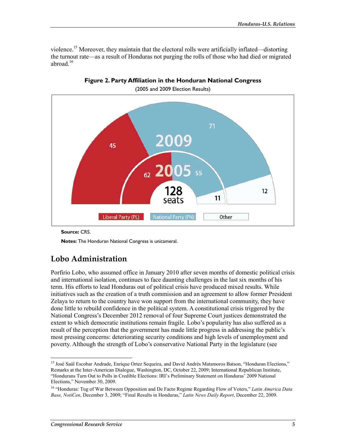violence.<sup>15</sup> Moreover, they maintain that the electoral rolls were artificially inflated—distorting the turnout rate—as a result of Honduras not purging the rolls of those who had died or migrated abroad  $16$ 



Figure 2. Party Affiliation in the Honduran National Congress

(2005 and 2009 Election Results)

Source: CRS.

**Notes:** The Honduran National Congress is unicameral.

## Lobo Administration

Porfirio Lobo, who assumed office in January 2010 after seven months of domestic political crisis and international isolation, continues to face daunting challenges in the last six months of his term. His efforts to lead Honduras out of political crisis have produced mixed results. While initiatives such as the creation of a truth commission and an agreement to allow former President Zelaya to return to the country have won support from the international community, they have done little to rebuild confidence in the political system. A constitutional crisis triggered by the National Congress's December 2012 removal of four Supreme Court justices demonstrated the extent to which democratic institutions remain fragile. Lobo's popularity has also suffered as a result of the perception that the government has made little progress in addressing the public's most pressing concerns: deteriorating security conditions and high levels of unemployment and poverty. Although the strength of Lobo's conservative National Party in the legislature (see

<sup>&</sup>lt;sup>15</sup> José Saúl Escobar Andrade, Enrique Ortez Sequeira, and David Andrés Matamoros Batson, "Honduran Elections," Remarks at the Inter-American Dialogue, Washington, DC, October 22, 2009; International Republican Institute, "Hondurans Turn Out to Polls in Credible Elections: IRI's Preliminary Statement on Honduras' 2009 National Elections," November 30, 2009.

<sup>&</sup>lt;sup>16</sup> "Honduras: Tug of War Between Opposition and De Facto Regime Regarding Flow of Voters," Latin America Data Base, NotiCen, December 3, 2009; "Final Results in Honduras," Latin News Daily Report, December 22, 2009.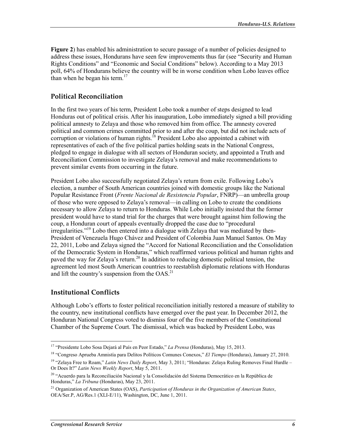Figure 2) has enabled his administration to secure passage of a number of policies designed to address these issues, Hondurans have seen few improvements thus far (see "Security and Human" Rights Conditions" and "Economic and Social Conditions" below). According to a May 2013 poll, 64% of Hondurans believe the country will be in worse condition when Lobo leaves office than when he began his term. $17$ 

## **Political Reconciliation**

In the first two years of his term, President Lobo took a number of steps designed to lead Honduras out of political crisis. After his inauguration, Lobo immediately signed a bill providing political amnesty to Zelaya and those who removed him from office. The amnesty covered political and common crimes committed prior to and after the coup, but did not include acts of corruption or violations of human rights.<sup>18</sup> President Lobo also appointed a cabinet with representatives of each of the five political parties holding seats in the National Congress, pledged to engage in dialogue with all sectors of Honduran society, and appointed a Truth and Reconciliation Commission to investigate Zelaya's removal and make recommendations to prevent similar events from occurring in the future.

President Lobo also successfully negotiated Zelaya's return from exile. Following Lobo's election, a number of South American countries joined with domestic groups like the National Popular Resistance Front (Frente Nacional de Resistencia Popular, FNRP)—an umbrella group of those who were opposed to Zelaya's removal—in calling on Lobo to create the conditions necessary to allow Zelaya to return to Honduras. While Lobo initially insisted that the former president would have to stand trial for the charges that were brought against him following the coup, a Honduran court of appeals eventually dropped the case due to "procedural" irregularities."<sup>19</sup> Lobo then entered into a dialogue with Zelaya that was mediated by then-President of Venezuela Hugo Chávez and President of Colombia Juan Manuel Santos. On May 22, 2011, Lobo and Zelaya signed the "Accord for National Reconciliation and the Consolidation of the Democratic System in Honduras," which reaffirmed various political and human rights and paved the way for Zelaya's return.<sup>20</sup> In addition to reducing domestic political tension, the agreement led most South American countries to reestablish diplomatic relations with Honduras and lift the country's suspension from the OAS.<sup>21</sup>

### **Institutional Conflicts**

Although Lobo's efforts to foster political reconciliation initially restored a measure of stability to the country, new institutional conflicts have emerged over the past year. In December 2012, the Honduran National Congress voted to dismiss four of the five members of the Constitutional Chamber of the Supreme Court. The dismissal, which was backed by President Lobo, was

<sup>&</sup>lt;sup>17</sup> "Presidente Lobo Sosa Dejará al País en Peor Estado," La Prensa (Honduras), May 15, 2013.

<sup>&</sup>lt;sup>18</sup> "Congreso Aprueba Amnistía para Delitos Políticos Comunes Conexos," El Tiempo (Honduras), January 27, 2010.

<sup>&</sup>lt;sup>19</sup> "Zelaya Free to Roam," Latin News Daily Report, May 3, 2011; "Honduras: Zelaya Ruling Removes Final Hurdle -Or Does It?" Latin News Weekly Report, May 5, 2011.

<sup>&</sup>lt;sup>20</sup> "Acuerdo para la Reconciliación Nacional y la Consolidación del Sistema Democrático en la República de Honduras," La Tribuna (Honduras), May 23, 2011.

<sup>&</sup>lt;sup>21</sup> Organization of American States (OAS), Participation of Honduras in the Organization of American States, OEA/Ser.P, AG/Res.1 (XLI-E/11), Washington, DC, June 1, 2011.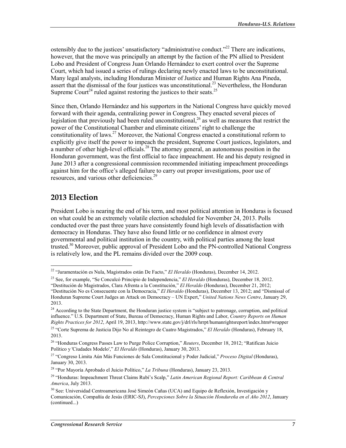ostensibly due to the justices' unsatisfactory "administrative conduct."<sup>22</sup> There are indications, however, that the move was principally an attempt by the faction of the PN allied to President Lobo and President of Congress Juan Orlando Hernández to exert control over the Supreme Court, which had issued a series of rulings declaring newly enacted laws to be unconstitutional. Many legal analysts, including Honduran Minister of Justice and Human Rights Ana Pineda, assert that the dismissal of the four justices was unconstitutional.<sup>23</sup> Nevertheless, the Honduran Supreme Court<sup>24</sup> ruled against restoring the justices to their seats.<sup>25</sup>

Since then, Orlando Hernández and his supporters in the National Congress have quickly moved forward with their agenda, centralizing power in Congress. They enacted several pieces of legislation that previously had been ruled unconstitutional,  $^{26}$  as well as measures that restrict the power of the Constitutional Chamber and eliminate citizens' right to challenge the constitutionality of laws.<sup>27</sup> Moreover, the National Congress enacted a constitutional reform to explicitly give itself the power to impeach the president, Supreme Court justices, legislators, and a number of other high-level officials.<sup>28</sup> The attorney general, an autonomous position in the Honduran government, was the first official to face impeachment. He and his deputy resigned in June 2013 after a congressional commission recommended initiating impeachment proceedings against him for the office's alleged failure to carry out proper investigations, poor use of resources, and various other deficiencies.<sup>29</sup>

## 2013 Election

President Lobo is nearing the end of his term, and most political attention in Honduras is focused on what could be an extremely volatile election scheduled for November 24, 2013. Polls conducted over the past three years have consistently found high levels of dissatisfaction with democracy in Honduras. They have also found little or no confidence in almost every governmental and political institution in the country, with political parties among the least trusted.<sup>30</sup> Moreover, public approval of President Lobo and the PN-controlled National Congress is relatively low, and the PL remains divided over the 2009 coup.

<sup>&</sup>lt;sup>22</sup> "Juramentación es Nula, Magistrados están De Facto," El Heraldo (Honduras), December 14, 2012.

<sup>&</sup>lt;sup>23</sup> See, for example, "Se Conculcó Principio de Independencia," *El Heraldo* (Honduras), December 18, 2012.

<sup>&</sup>quot;Destitución de Magistrados, Clara Afrenta a la Constitución," El Heraldo (Honduras), December 21, 2012; "Destitución No es Consecuente con la Democracia," El Heraldo (Honduras), December 13, 2012; and "Dismissal of Honduran Supreme Court Judges an Attack on Democracy - UN Expert," United Nations News Centre, January 29, 2013.

<sup>&</sup>lt;sup>24</sup> According to the State Department, the Honduran justice system is "subject to patronage, corruption, and political influence." U.S. Department of State, Bureau of Democracy, Human Rights and Labor, Country Reports on Human Rights Practices for 2012, April 19, 2013, http://www.state.gov/j/drl/rls/hrrpt/humanrightsreport/index.htm#wrapper <sup>25</sup> "Corte Suprema de Justicia Dijo No al Reintegro de Cuatro Magistrados," El Heraldo (Honduras), February 18,

<sup>2013.</sup> 

<sup>&</sup>lt;sup>26</sup> "Honduras Congress Passes Law to Purge Police Corruption," Reuters, December 18, 2012; "Ratifican Juicio Político y 'Ciudades Modelo'," El Heraldo (Honduras), January 30, 2013.

<sup>&</sup>lt;sup>27</sup> "Congreso Limita Aún Más Funciones de Sala Constitucional y Poder Judicial," Proceso Digital (Honduras), January 30, 2013.

<sup>&</sup>lt;sup>28</sup> "Por Mayoría Aprobado el Juicio Político," La Tribuna (Honduras), January 23, 2013.

<sup>&</sup>lt;sup>29</sup> "Honduras: Impeachment Threat Claims Rubi's Scalp," Latin American Regional Report: Caribbean & Central America, July 2013.

<sup>&</sup>lt;sup>30</sup> See: Universidad Centroamericana José Simeón Cañas (UCA) and Equipo de Reflexión, Investigación y Comunicación, Compañía de Jesús (ERIC-SJ), Percepciones Sobre la Situación Hondureña en el Año 2012, January (continued...)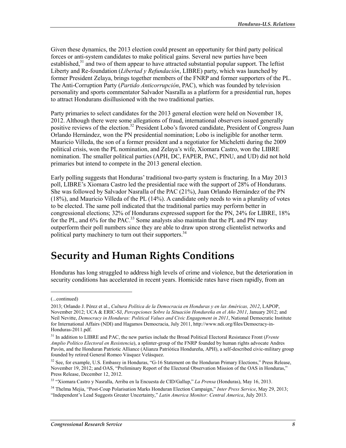Given these dynamics, the 2013 election could present an opportunity for third party political forces or anti-system candidates to make political gains. Several new parties have been established,  $31$  and two of them appear to have attracted substantial popular support. The left ist Liberty and Re-foundation (Libertad y Refundación, LIBRE) party, which was launched by former President Zelaya, brings together members of the FNRP and former supporters of the PL. The Anti-Corruption Party (Partido Anticorrupción, PAC), which was founded by television personality and sports commentator Salvador Nasralla as a platform for a presidential run, hopes to attract Hondurans disillusioned with the two traditional parties.

Party primaries to select candidates for the 2013 general election were held on November 18, 2012. Although there were some allegations of fraud, international observers issued generally positive reviews of the election.<sup>32</sup> President Lobo's favored candidate, President of Congress Juan Orlando Hernández, won the PN presidential nomination; Lobo is ineligible for another term. Mauricio Villeda, the son of a former president and a negotiator for Micheletti during the 2009 political crisis, won the PL nomination, and Zelava's wife, Xiomara Castro, won the LIBRE nomination. The smaller political parties (APH, DC, FAPER, PAC, PINU, and UD) did not hold primaries but intend to compete in the 2013 general election.

Early polling suggests that Honduras' traditional two-party system is fracturing. In a May 2013 poll, LIBRE's Xiomara Castro led the presidential race with the support of 28% of Hondurans. She was followed by Salvador Nasralla of the PAC (21%), Juan Orlando Hernández of the PN  $(18%)$ , and Mauricio Villeda of the PL  $(14%)$ . A candidate only needs to win a plurality of votes to be elected. The same poll indicated that the traditional parties may perform better in congressional elections; 32% of Hondurans expressed support for the PN, 24% for LIBRE, 18% for the PL, and 6% for the PAC.<sup>33</sup> Some analysts also maintain that the PL and PN may outperform their poll numbers since they are able to draw upon strong clientelist networks and political party machinery to turn out their supporters.<sup>34</sup>

## **Security and Human Rights Conditions**

Honduras has long struggled to address high levels of crime and violence, but the deterioration in security conditions has accelerated in recent years. Homicide rates have risen rapidly, from an

<sup>(...</sup>continued)

<sup>2013:</sup> Orlando J. Pérez et al., Cultura Política de la Democracia en Honduras y en las Américas, 2012, LAPOP, November 2012: UCA & ERIC-SJ, Percepciones Sobre la Situación Hondureña en el Año 2011, January 2012: and Neil Nevitte, Democracy in Honduras: Political Values and Civic Engagement in 2011, National Democratic Institute for International Affairs (NDI) and Hagamos Democracia, July 2011, http://www.ndi.org/files/Democracy-in-Honduras-2011.pdf.

<sup>&</sup>lt;sup>31</sup> In addition to LIBRE and PAC, the new parties include the Broad Political Electoral Resistance Front (Frente Amplio Político Electoral en Resistencia), a splinter-group of the FNRP founded by human rights advocate Andres Pavón, and the Honduran Patriotic Alliance (Alianza Patriótica Hondureña, APH), a self-described civic-military group founded by retired General Romeo Vásquez Velásquez.

 $32$  See, for example, U.S. Embassy in Honduras, "G-16 Statement on the Honduran Primary Elections," Press Release, November 19, 2012; and OAS, "Preliminary Report of the Electoral Observation Mission of the OAS in Honduras," Press Release, December 12, 2012.

<sup>&</sup>lt;sup>33</sup> "Xiomara Castro y Nasralla, Arriba en la Encuesta de CID/Gallup," La Prensa (Honduras), May 16, 2013.

<sup>&</sup>lt;sup>34</sup> Thelma Meiia, "Post-Coup Polarisation Marks Honduran Election Campaign," Inter Press Service, May 29, 2013; "Independent's Lead Suggests Greater Uncertainty," Latin America Monitor: Central America, July 2013.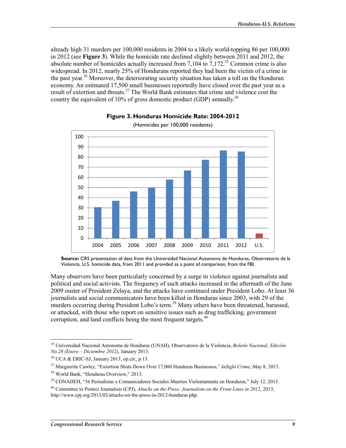already high 31 murders per 100,000 residents in 2004 to a likely world-topping 86 per 100,000 in 2012 (see Figure 3). While the homicide rate declined slightly between 2011 and 2012, the absolute number of homicides actually increased from 7,104 to  $7,172.^{35}$  Common crime is also widespread. In 2012, nearly 25% of Hondurans reported they had been the victim of a crime in the past year.<sup>36</sup> Moreover, the deteriorating security situation has taken a toll on the Honduran economy. An estimated 17,500 small businesses reportedly have closed over the past year as a result of extortion and threats.<sup>37</sup> The World Bank estimates that crime and violence cost the country the equivalent of 10% of gross domestic product (GDP) annually.<sup>38</sup>





Many observers have been particularly concerned by a surge in violence against journalists and political and social activists. The frequency of such attacks increased in the aftermath of the June 2009 ouster of President Zelava, and the attacks have continued under President Lobo. At least 36 journalists and social communicators have been killed in Honduras since 2003, with 29 of the murders occurring during President Lobo's term.<sup>39</sup> Many others have been threatened, harassed, or attacked, with those who report on sensitive issues such as drug trafficking, government corruption, and land conflicts being the most frequent targets.<sup>40</sup>

Source: CRS presentation of data from the Universidad Nacional Autonoma de Honduras, Observatorio de la Violencia. U.S. homicide data, from 2011 and provided as a point of comparison, from the FBI.

<sup>&</sup>lt;sup>35</sup> Universidad Nacional Autonoma de Honduras (UNAH), Observatorio de la Violencia, Boletín Nacional, Edición No.28 (Enero – Diciembre 2012), January 2013.

<sup>&</sup>lt;sup>36</sup> UCA & ERIC-SJ, January 2013, op.cit., p.13.

<sup>&</sup>lt;sup>37</sup> Marguerite Cawley, "Extortion Shuts Down Over 17,000 Honduras Businesses," *InSight Crime*, May 8, 2013.

<sup>&</sup>lt;sup>38</sup> World Bank, "Honduras Overview," 2013.

<sup>&</sup>lt;sup>39</sup> CONADEH, "36 Periodistas y Comunicadores Sociales Muertos Violentamente en Honduras," July 12, 2013.

<sup>&</sup>lt;sup>40</sup> Committee to Protect Journalists (CPJ), Attacks on the Press: Journalism on the Front Lines in 2012, 2013, http://www.cpj.org/2013/02/attacks-on-the-press-in-2012-honduras.php.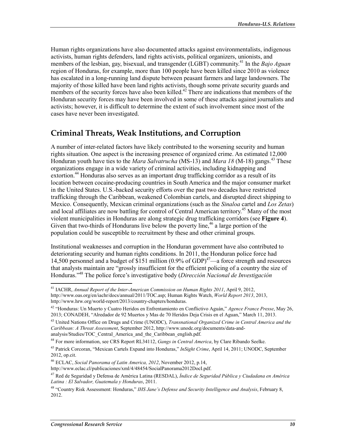Human rights organizations have also documented attacks against environmentalists, indigenous activists, human rights defenders, land rights activists, political organizers, unionists, and members of the lesbian, gay, bisexual, and transgender (LGBT) community.<sup>41</sup> In the *Bajo Aguan* region of Honduras, for example, more than 100 people have been killed since 2010 as violence has escalated in a long-running land dispute between peasant farmers and large landowners. The majority of those killed have been land rights activists, though some private security guards and members of the security forces have also been killed.<sup>42</sup> There are indications that members of the Honduran security forces may have been involved in some of these attacks against journalists and activists; however, it is difficult to determine the extent of such involvement since most of the cases have never been investigated.

## Criminal Threats, Weak Institutions, and Corruption

A number of inter-related factors have likely contributed to the worsening security and human rights situation. One aspect is the increasing presence of organized crime. An estimated 12,000 Honduran youth have ties to the *Mara Salvatrucha* (MS-13) and *Mara 18* (M-18) gangs.<sup>43</sup> These organizations engage in a wide variety of criminal activities, including kidnapping and extortion.<sup>44</sup> Honduras also serves as an important drug trafficking corridor as a result of its location between cocaine-producing countries in South America and the major consumer market in the United States. U.S.-backed security efforts over the past two decades have restricted trafficking through the Caribbean, weakened Colombian cartels, and disrupted direct shipping to Mexico. Consequently, Mexican criminal organizations (such as the *Sinaloa* cartel and Los Zetas) and local affiliates are now battling for control of Central American territory.<sup>45</sup> Many of the most violent municipalities in Honduras are along strategic drug trafficking corridors (see Figure 4). Given that two-thirds of Hondurans live below the poverty line,<sup>46</sup> a large portion of the population could be susceptible to recruitment by these and other criminal groups.

Institutional weaknesses and corruption in the Honduran government have also contributed to deteriorating security and human rights conditions. In 2011, the Honduran police force had 14,500 personnel and a budget of \$151 million  $(0.9\% \text{ of GDP})^{47}$ —a force strength and resources that analysts maintain are "grossly insufficient for the efficient policing of a country the size of Honduras."<sup>48</sup> The police force's investigative body (Dirección Nacional de Investigación

<sup>&</sup>lt;sup>41</sup> IACHR, Annual Report of the Inter-American Commission on Human Rights 2011, April 9, 2012, http://www.oas.org/en/iachr/docs/annual/2011/TOC.asp; Human Rights Watch, World Report 2013, 2013, http://www.hrw.org/world-report/2013/country-chapters/honduras.

<sup>&</sup>lt;sup>42</sup> "Honduras: Un Muerto y Cuatro Heridos en Enfrentamiento en Conflictivo Aguán," Agence France Presse, May 26, 2013; CONADEH, "Alredador de 92 Muertos y Mas de 70 Heridos Deja Crisis en el Aguan," March 11, 2013.

<sup>&</sup>lt;sup>43</sup> United Nations Office on Drugs and Crime (UNODC), Transnational Organized Crime in Central America and the Caribbean: A Threat Assessment, September 2012, http://www.unodc.org/documents/data-andanalysis/Studies/TOC Central America and the Caribbean english.pdf.

<sup>&</sup>lt;sup>44</sup> For more information, see CRS Report RL34112, *Gangs in Central America*, by Clare Ribando Seelke.

<sup>&</sup>lt;sup>45</sup> Patrick Corcoran, "Mexican Cartels Expand into Honduras," *InSight Crime*, April 14, 2011; UNODC, September 2012, op.cit.

<sup>&</sup>lt;sup>46</sup> ECLAC, Social Panorama of Latin America, 2012, November 2012, p.14,

http://www.eclac.cl/publicaciones/xml/4/48454/SocialPanorama2012DocI.pdf.

<sup>&</sup>lt;sup>47</sup> Red de Seguridad y Defensa de América Latina (RESDAL), Índice de Seguridad Pública y Ciudadana en América Latina : El Salvador, Guatemala y Honduras, 2011.

<sup>&</sup>lt;sup>48</sup> "Country Risk Assessment: Honduras," IHS Jane's Defense and Security Intelligence and Analysis, February 8, 2012.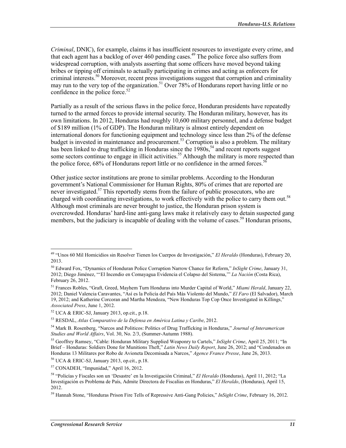*Criminal*, DNIC), for example, claims it has insufficient resources to investigate every crime, and that each agent has a backlog of over 460 pending cases.<sup>49</sup> The police force also suffers from widespread corruption, with analysts asserting that some officers have moved beyond taking bribes or tipping off criminals to actually participating in crimes and acting as enforcers for criminal interests.<sup>50</sup> Moreover, recent press investigations suggest that corruption and criminality may run to the very top of the organization.<sup>51</sup> Over 78% of Hondurans report having little or no confidence in the police force.<sup>52</sup>

Partially as a result of the serious flaws in the police force. Honduran presidents have repeatedly turned to the armed forces to provide internal security. The Honduran military, however, has its own limitations. In 2012, Honduras had roughly 10,600 military personnel, and a defense budget of \$189 million (1% of GDP). The Honduran military is almost entirely dependent on international donors for functioning equipment and technology since less than 2% of the defense budget is invested in maintenance and procurement.<sup>53</sup> Corruption is also a problem. The military has been linked to drug trafficking in Honduras since the 1980s,<sup>54</sup> and recent reports suggest some sectors continue to engage in illicit activities.<sup>55</sup> Although the military is more respected than the police force, 68% of Hondurans report little or no confidence in the armed forces.<sup>56</sup>

Other justice sector institutions are prone to similar problems. According to the Honduran government's National Commissioner for Human Rights, 80% of crimes that are reported are never investigated.<sup>57</sup> This reportedly stems from the failure of public prosecutors, who are charged with coordinating investigations, to work effectively with the police to carry them out.<sup>58</sup> Although most criminals are never brought to justice, the Honduran prison system is overcrowded. Honduras' hard-line anti-gang laws make it relatively easy to detain suspected gang members, but the judiciary is incapable of dealing with the volume of cases.<sup>59</sup> Honduran prisons,

<sup>&</sup>lt;sup>49</sup> "Unos 60 Mil Homicidios sin Resolver Tienen los Cuerpos de Investigación," El Heraldo (Honduras), February 20, 2013.

<sup>&</sup>lt;sup>50</sup> Edward Fox, "Dynamics of Honduran Police Corruption Narrow Chance for Reform," InSight Crime, January 31, 2012; Diego Jiménez, "'El Incendio en Comayagua Evidencia el Colapso del Sistema," La Nación (Costa Rica), February 26, 2012.

<sup>&</sup>lt;sup>51</sup> Frances Robles, "Graft, Greed, Mayhem Turn Honduras into Murder Capital of World," Miami Herald, January 22, 2012; Daniel Valencia Caravantes, "Así es la Policía del País Más Violento del Mundo," El Faro (El Salvador), March 19, 2012; and Katherine Corcoran and Martha Mendoza, "New Honduras Top Cop Once Investigated in Killings," Associated Press, June 1, 2012.

 $52$  UCA & ERIC-SJ, January 2013, op.cit., p.18.

<sup>&</sup>lt;sup>53</sup> RESDAL, Atlas Comparativo de la Defensa en América Latina y Caribe, 2012.

<sup>&</sup>lt;sup>54</sup> Mark B. Rosenberg, "Narcos and Politicos: Politics of Drug Trafficking in Honduras," *Journal of Interamerican* Studies and World Affairs, Vol. 30, No. 2/3, (Summer-Autumn 1988).

<sup>&</sup>lt;sup>55</sup> Geoffrey Ramsey, "Cable: Honduran Military Supplied Weaponry to Cartels," InSight Crime, April 25, 2011; "In Brief - Honduras: Soldiers Done for Munitions Theft," Latin News Daily Report, June 26, 2012; and "Condenados en Honduras 13 Militares por Robo de Avioneta Decomisada a Narcos," Agence France Presse, June 26, 2013.

<sup>&</sup>lt;sup>56</sup> UCA & ERIC-SJ, January 2013, op.cit., p.18.

<sup>&</sup>lt;sup>57</sup> CONADEH, "Impunidad," April 16, 2012.

<sup>&</sup>lt;sup>58</sup> "Policías y Fiscales son un 'Desastre' en la Investigación Criminal," El Heraldo (Honduras), April 11, 2012; "La Investigación es Problema de País, Admite Directora de Fiscalías en Honduras," El Heraldo, (Honduras), April 15, 2012.

<sup>&</sup>lt;sup>59</sup> Hannah Stone, "Honduras Prison Fire Tells of Repressive Anti-Gang Policies," *InSight Crime*, February 16, 2012.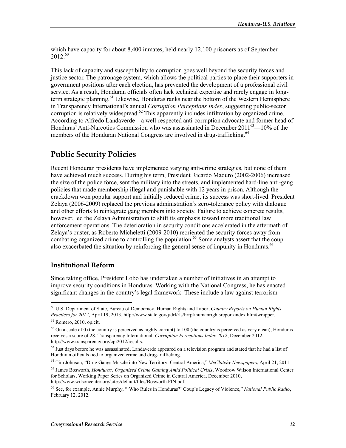which have capacity for about  $8,400$  inmates, held nearly  $12,100$  prisoners as of September  $2012^{60}$ 

This lack of capacity and susceptibility to corruption goes well beyond the security forces and justice sector. The patronage system, which allows the political parties to place their supporters in government positions after each election, has prevented the development of a professional civil service. As a result, Honduran officials often lack technical expertise and rarely engage in longterm strategic planning.<sup>61</sup> Likewise, Honduras ranks near the bottom of the Western Hemisphere in Transparency International's annual Corruption Perceptions Index, suggesting public-sector corruption is relatively widespread.<sup>62</sup> This apparently includes infiltration by organized crime. According to Alfredo Landaverde—a well-respected anti-corruption advocate and former head of Honduras' Anti-Narcotics Commission who was assassinated in December 2011<sup>63</sup>—10% of the members of the Honduran National Congress are involved in drug-trafficking.<sup>64</sup>

## **Public Security Policies**

Recent Honduran presidents have implemented varying anti-crime strategies, but none of them have achieved much success. During his term, President Ricardo Maduro (2002-2006) increased the size of the police force, sent the military into the streets, and implemented hard-line anti-gang policies that made membership illegal and punishable with 12 years in prison. Although the crackdown won popular support and initially reduced crime, its success was short-lived. President Zelaya (2006-2009) replaced the previous administration's zero-tolerance policy with dialogue and other efforts to reintegrate gang members into society. Failure to achieve concrete results, however, led the Zelaya Administration to shift its emphasis toward more traditional law enforcement operations. The deterioration in security conditions accelerated in the aftermath of Zelaya's ouster, as Roberto Micheletti (2009-2010) reoriented the security forces away from combating organized crime to controlling the population.<sup>65</sup> Some analysts assert that the coup also exacerbated the situation by reinforcing the general sense of impunity in Honduras.<sup>66</sup>

#### **Institutional Reform**

Since taking office, President Lobo has undertaken a number of initiatives in an attempt to improve security conditions in Honduras. Working with the National Congress, he has enacted significant changes in the country's legal framework. These include a law against terrorism

<sup>&</sup>lt;sup>60</sup> U.S. Department of State, Bureau of Democracy, Human Rights and Labor, Country Reports on Human Rights Practices for 2012, April 19, 2013, http://www.state.gov/j/drl/rls/hrrpt/humanrightsreport/index.htm#wrapper.

 $61$  Romero, 2010, op.cit.

 $^{62}$  On a scale of 0 (the country is perceived as highly corrupt) to 100 (the country is perceived as very clean), Honduras receives a score of 28. Transparency International, Corruption Perceptions Index 2012, December 2012, http://www.transparency.org/cpi2012/results.

 $63$  Just days before he was assassinated, Landaverde appeared on a television program and stated that he had a list of Honduran officials tied to organized crime and drug-trafficking.

<sup>&</sup>lt;sup>64</sup> Tim Johnson, "Drug Gangs Muscle into New Territory: Central America," McClatchy Newspapers, April 21, 2011.

<sup>&</sup>lt;sup>65</sup> James Bosworth, *Honduras: Organized Crime Gaining Amid Political Crisis*, Woodrow Wilson International Center for Scholars, Working Paper Series on Organized Crime in Central America, December 2010, http://www.wilsoncenter.org/sites/default/files/Bosworth.FIN.pdf.

<sup>&</sup>lt;sup>66</sup> See, for example, Annie Murphy, "Who Rules in Honduras?' Coup's Legacy of Violence," National Public Radio, February 12, 2012.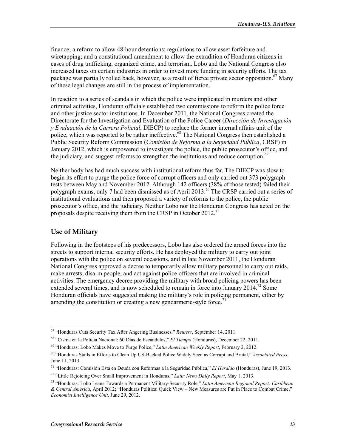finance; a reform to allow 48-hour detentions; regulations to allow asset forfeiture and wiretapping; and a constitutional amendment to allow the extradition of Honduran citizens in cases of drug trafficking, organized crime, and terrorism. Lobo and the National Congress also increased taxes on certain industries in order to invest more funding in security efforts. The tax package was partially rolled back, however, as a result of fierce private sector opposition.<sup>67</sup> Many of these legal changes are still in the process of implementation.

In reaction to a series of scandals in which the police were implicated in murders and other criminal activities. Honduran officials established two commissions to reform the police force and other justice sector institutions. In December 2011, the National Congress created the Directorate for the Investigation and Evaluation of the Police Career (Dirección de Investigación v Evaluación de la Carrera Policial, DIECP) to replace the former internal affairs unit of the police, which was reported to be rather ineffective.<sup>68</sup> The National Congress then established a Public Security Reform Commission (Comisión de Reforma a la Seguridad Pública, CRSP) in January 2012, which is empowered to investigate the police, the public prosecutor's office, and the judiciary, and suggest reforms to strengthen the institutions and reduce corruption.<sup>69</sup>

Neither body has had much success with institutional reform thus far. The DIECP was slow to begin its effort to purge the police force of corrupt officers and only carried out 373 polygraph tests between May and November 2012. Although 142 officers (38% of those tested) failed their polygraph exams, only 7 had been dismissed as of April 2013.<sup>70</sup> The CRSP carried out a series of institutional evaluations and then proposed a variety of reforms to the police, the public prosecutor's office, and the judiciary. Neither Lobo nor the Honduran Congress has acted on the proposals despite receiving them from the CRSP in October 2012.<sup>71</sup>

### **Use of Military**

Following in the footsteps of his predecessors, Lobo has also ordered the armed forces into the streets to support internal security efforts. He has deployed the military to carry out joint operations with the police on several occasions, and in late November 2011, the Honduran National Congress approved a decree to temporarily allow military personnel to carry out raids, make arrests, disarm people, and act against police officers that are involved in criminal activities. The emergency decree providing the military with broad policing powers has been extended several times, and is now scheduled to remain in force into January 2014.<sup>72</sup> Some Honduran officials have suggested making the military's role in policing permanent, either by amending the constitution or creating a new gendarmerie-style force.<sup>73</sup>

 $67$  "Honduras Cuts Security Tax After Angering Businesses," Reuters, September 14, 2011.

<sup>&</sup>lt;sup>68</sup> "Cisma en la Policía Nacional: 60 Días de Escándalos," El Tiempo (Honduras), December 22, 2011.

<sup>&</sup>lt;sup>69</sup> "Honduras: Lobo Makes Move to Purge Police," Latin American Weekly Report, February 2, 2012.

<sup>&</sup>lt;sup>70</sup> "Honduras Stalls in Efforts to Clean Up US-Backed Police Widely Seen as Corrupt and Brutal," *Associated Press*, June 11, 2013.

<sup>71 &</sup>quot;Honduras: Comisión Está en Deuda con Reformas a la Seguridad Pública," El Heraldo (Honduras), June 19, 2013.

<sup>&</sup>lt;sup>72</sup> "Little Rejoicing Over Small Improvement in Honduras," Latin News Daily Report, May 1, 2013.

<sup>73 &</sup>quot;Honduras: Lobo Leans Towards a Permanent Military-Security Role," Latin American Regional Report: Caribbean & Central America, April 2012; "Honduras Politics: Quick View – New Measures are Put in Place to Combat Crime," Economist Intelligence Unit, June 29, 2012.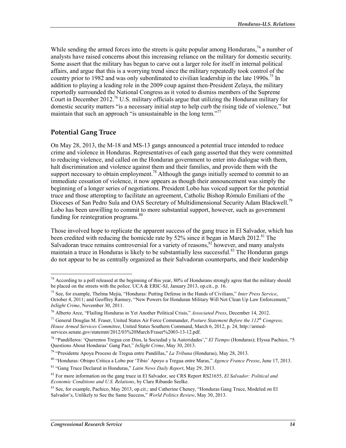While sending the armed forces into the streets is quite popular among Hondurans.<sup>74</sup> a number of analysts have raised concerns about this increasing reliance on the military for domestic security. Some assert that the military has begun to carve out a larger role for itself in internal political affairs, and argue that this is a worrying trend since the military repeatedly took control of the country prior to 1982 and was only subordinated to civilian leadership in the late 1990s.<sup>75</sup> In addition to playing a leading role in the 2009 coup against then-President Zelaya, the military reportedly surrounded the National Congress as it voted to dismiss members of the Supreme Court in December 2012.<sup>76</sup> U.S. military officials argue that utilizing the Honduran military for domestic security matters "is a necessary initial step to help curb the rising tide of violence," but maintain that such an approach "is unsustainable in the long term."<sup>77</sup>

### **Potential Gang Truce**

On May 28, 2013, the M-18 and MS-13 gangs announced a potential truce intended to reduce crime and violence in Honduras. Representatives of each gang asserted that they were committed to reducing violence, and called on the Honduran government to enter into dialogue with them, halt discrimination and violence against them and their families, and provide them with the support necessary to obtain employment.<sup>78</sup> Although the gangs initially seemed to commit to an immediate cessation of violence, it now appears as though their announcement was simply the beginning of a longer series of negotiations. President Lobo has voiced support for the potential truce and those attempting to facilitate an agreement, Catholic Bishop Rómulo Emiliani of the Dioceses of San Pedro Sula and OAS Secretary of Multidimensional Security Adam Blackwell.<sup>79</sup> Lobo has been unwilling to commit to more substantial support, however, such as government funding for reintegration programs.<sup>80</sup>

Those involved hope to replicate the apparent success of the gang truce in El Salvador, which has been credited with reducing the homicide rate by 52% since it began in March 2012.<sup>81</sup> The Salvadoran truce remains controversial for a variety of reasons,<sup>82</sup> however, and many analysts maintain a truce in Honduras is likely to be substantially less successful.<sup>83</sup> The Honduran gangs do not appear to be as centrally organized as their Salvadoran counterparts, and their leadership

<sup>&</sup>lt;sup>74</sup> According to a poll released at the beginning of this year, 80% of Hondurans strongly agree that the military should be placed on the streets with the police. UCA  $&$  ERIC-SJ, January 2013, op.cit., p. 16.

<sup>&</sup>lt;sup>75</sup> See, for example, Thelma Mejía, "Honduras: Putting Defense in the Hands of Civilians," Inter Press Service, October 4, 2011, and Geoffrey Ramsey, "New Powers for Honduran Military Will Not Clean Up Law Enforcement," InSight Crime, November 30, 2011.

<sup>&</sup>lt;sup>76</sup> Alberto Arce, "Flailing Honduras in Yet Another Political Crisis," Associated Press, December 14, 2012.

<sup>77</sup> General Douglas M. Fraser, United States Air Force Commander, Posture Statement Before the  $112^{th}$  Congress, House Armed Services Committee, United States Southern Command, March 6, 2012, p. 24, http://armedservices.senate.gov/statemnt/2012/03%20March/Fraser%2003-13-12.pdf.

<sup>78 &</sup>quot;Pandilleros: 'Queremos Tregua con Dios, la Sociedad y la Autoridades'," El Tiempo (Honduras); Elyssa Pachico, "5 Questions About Honduras' Gang Pact," InSight Crime, May 30, 2013.

<sup>&</sup>lt;sup>79</sup> "Presidente Apoya Proceso de Tregua entre Pandillas," La Tribuna (Honduras), May 28, 2013.

<sup>80 &</sup>quot;Honduras: Obispo Critica a Lobo por 'Tibio' Apoyo a Tregua entre Maras," Agence France Presse, June 17, 2013.

<sup>&</sup>lt;sup>81</sup> "Gang Truce Declared in Honduras," Latin News Daily Report, May 29, 2013.

 $82$  For more information on the gang truce in El Salvador, see CRS Report RS21655, *El Salvador: Political and* Economic Conditions and U.S. Relations, by Clare Ribando Seelke.

<sup>&</sup>lt;sup>83</sup> See, for example, Pachico, May 2013, op.cit.; and Catherine Cheney, "Honduras Gang Truce, Modeled on El Salvador's, Unlikely to See the Same Success," World Politics Review, May 30, 2013.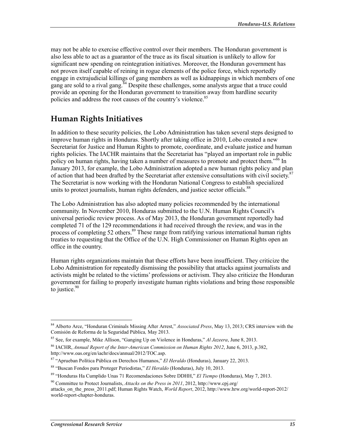may not be able to exercise effective control over their members. The Honduran government is also less able to act as a guarantor of the truce as its fiscal situation is unlikely to allow for significant new spending on reintegration initiatives. Moreover, the Honduran government has not proven itself capable of reining in rogue elements of the police force, which reportedly engage in extrajudicial killings of gang members as well as kidnappings in which members of one gang are sold to a rival gang.<sup>84</sup> Despite these challenges, some analysts argue that a truce could provide an opening for the Honduran government to transition away from hardline security policies and address the root causes of the country's violence.<sup>85</sup>

## **Human Rights Initiatives**

In addition to these security policies, the Lobo Administration has taken several steps designed to improve human rights in Honduras. Shortly after taking office in 2010, Lobo created a new Secretariat for Justice and Human Rights to promote, coordinate, and evaluate justice and human rights policies. The IACHR maintains that the Secretariat has "played an important role in public policy on human rights, having taken a number of measures to promote and protect them."<sup>86</sup> In January 2013, for example, the Lobo Administration adopted a new human rights policy and plan of action that had been drafted by the Secretariat after extensive consultations with civil society.<sup>87</sup> The Secretariat is now working with the Honduran National Congress to establish specialized units to protect journalists, human rights defenders, and justice sector officials.<sup>88</sup>

The Lobo Administration has also adopted many policies recommended by the international community. In November 2010, Honduras submitted to the U.N. Human Rights Council's universal periodic review process. As of May 2013, the Honduran government reportedly had completed 71 of the 129 recommendations it had received through the review, and was in the process of completing 52 others.<sup>89</sup> These range from ratifying various international human rights treaties to requesting that the Office of the U.N. High Commissioner on Human Rights open an office in the country.

Human rights organizations maintain that these efforts have been insufficient. They criticize the Lobo Administration for repeatedly dismissing the possibility that attacks against journalists and activists might be related to the victims' professions or activism. They also criticize the Honduran government for failing to properly investigate human rights violations and bring those responsible to justice. $90$ 

<sup>&</sup>lt;sup>84</sup> Alberto Arce, "Honduran Criminals Missing After Arrest," *Associated Press*, May 13, 2013; CRS interview with the Comisión de Reforma de la Seguridad Pública, May 2013.

<sup>&</sup>lt;sup>85</sup> See, for example, Mike Allison, "Ganging Up on Violence in Honduras," Al Jazeera, June 8, 2013.

<sup>&</sup>lt;sup>86</sup> IACHR, Annual Report of the Inter-American Commission on Human Rights 2012, June 6, 2013, p.382, http://www.oas.org/en/iachr/docs/annual/2012/TOC.asp.

<sup>&</sup>lt;sup>87</sup> "Aprueban Política Pública en Derechos Humanos," El Heraldo (Honduras), January 22, 2013.

<sup>&</sup>lt;sup>88</sup> "Buscan Fondos para Proteger Periodistas," El Heraldo (Honduras), July 10, 2013.

<sup>&</sup>lt;sup>89</sup> "Honduras Ha Cumplido Unas 71 Recomendaciones Sobre DDHH," *El Tiempo* (Honduras), May 7, 2013.

<sup>&</sup>lt;sup>90</sup> Committee to Protect Journalists, Attacks on the Press in 2011, 2012, http://www.cpj.org/

attacks on the press 2011.pdf; Human Rights Watch, World Report, 2012, http://www.hrw.org/world-report-2012/ world-report-chapter-honduras.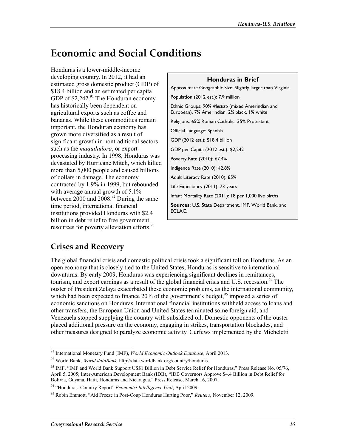# **Economic and Social Conditions**

Honduras is a lower-middle-income developing country. In 2012, it had an estimated gross domestic product (GDP) of \$18.4 billion and an estimated per capita GDP of  $$2,242.<sup>91</sup>$  The Honduran economy has historically been dependent on agricultural exports such as coffee and bananas. While these commodities remain important, the Honduran economy has grown more diversified as a result of significant growth in nontraditional sectors such as the *maquiladora*, or exportprocessing industry. In 1998, Honduras was devastated by Hurricane Mitch, which killed more than 5,000 people and caused billions of dollars in damage. The economy contracted by 1.9% in 1999, but rebounded with average annual growth of  $5.1\%$ between  $2000$  and  $2008.<sup>92</sup>$  During the same time period, international financial institutions provided Honduras with \$2.4 billion in debt relief to free government resources for poverty alleviation efforts.<sup>93</sup>

**Honduras in Brief** Approximate Geographic Size: Slightly larger than Virginia Population (2012 est.): 7.9 million Ethnic Groups: 90% Mestizo (mixed Amerindian and European), 7% Amerindian, 2% black, 1% white Religions: 65% Roman Catholic, 35% Protestant Official Language: Spanish GDP (2012 est.): \$18.4 billion GDP per Capita (2012 est.): \$2,242 Poverty Rate (2010): 67.4% Indigence Rate (2010): 42.8% Adult Literacy Rate (2010): 85% Life Expectancy (2011): 73 years Infant Mortality Rate (2011): 18 per 1,000 live births Sources: U.S. State Department, IMF, World Bank, and ECLAC.

## **Crises and Recovery**

The global financial crisis and domestic political crisis took a significant toll on Honduras. As an open economy that is closely tied to the United States, Honduras is sensitive to international downturns. By early 2009, Honduras was experiencing significant declines in remittances, tourism, and export earnings as a result of the global financial crisis and U.S. recession.<sup>94</sup> The ouster of President Zelaya exacerbated these economic problems, as the international community, which had been expected to finance 20% of the government's budget,  $95 \text{ imposed}$  a series of economic sanctions on Honduras. International financial institutions withheld access to loans and other transfers, the European Union and United States terminated some foreign aid, and Venezuela stopped supplying the country with subsidized oil. Domestic opponents of the ouster placed additional pressure on the economy, engaging in strikes, transportation blockades, and other measures designed to paralyze economic activity. Curfews implemented by the Micheletti

<sup>&</sup>lt;sup>91</sup> International Monetary Fund (IMF), *World Economic Outlook Database*, April 2013.

 $92$  World Bank, *World dataBank*, http://data.worldbank.org/country/honduras.

<sup>93</sup> IMF, "IMF and World Bank Support US\$1 Billion in Debt Service Relief for Honduras," Press Release No. 05/76, April 5, 2005; Inter-American Development Bank (IDB), "IDB Governors Approve \$4.4 Billion in Debt Relief for Bolivia, Guyana, Haiti, Honduras and Nicaragua," Press Release, March 16, 2007.

<sup>&</sup>lt;sup>94</sup> "Honduras: Country Report" *Economist Intelligence Unit*, April 2009.

<sup>&</sup>lt;sup>95</sup> Robin Emmott, "Aid Freeze in Post-Coup Honduras Hurting Poor," *Reuters*, November 12, 2009.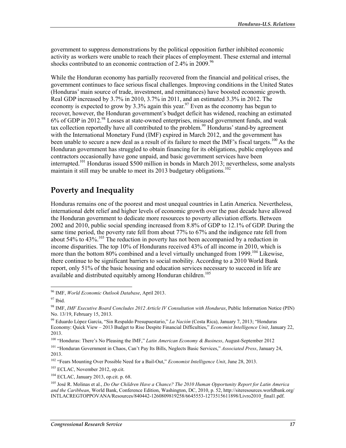government to suppress demonstrations by the political opposition further inhibited economic activity as workers were unable to reach their places of employment. These external and internal shocks contributed to an economic contraction of 2.4% in 2009.<sup>96</sup>

While the Honduran economy has partially recovered from the financial and political crises, the government continues to face serious fiscal challenges. Improving conditions in the United States (Honduras' main source of trade, investment, and remittances) have boosted economic growth. Real GDP increased by 3.7% in 2010, 3.7% in 2011, and an estimated 3.3% in 2012. The economy is expected to grow by 3.3% again this year.<sup>97</sup> Even as the economy has begun to recover, however, the Honduran government's budget deficit has widened, reaching an estimated 6% of GDP in 2012.<sup>98</sup> Losses at state-owned enterprises, misused government funds, and weak tax collection reportedly have all contributed to the problem.<sup>99</sup> Honduras' stand-by agreement with the International Monetary Fund (IMF) expired in March 2012, and the government has been unable to secure a new deal as a result of its failure to meet the IMF's fiscal targets.<sup>100</sup> As the Honduran government has struggled to obtain financing for its obligations, public employees and contractors occasionally have gone unpaid, and basic government services have been interrupted.<sup>101</sup> Honduras issued \$500 million in bonds in March 2013; nevertheless, some analysts maintain it still may be unable to meet its 2013 budgetary obligations.<sup>102</sup>

## **Poverty and Inequality**

Honduras remains one of the poorest and most unequal countries in Latin America. Nevertheless, international debt relief and higher levels of economic growth over the past decade have allowed the Honduran government to dedicate more resources to poverty alleviation efforts. Between 2002 and 2010, public social spending increased from 8.8% of GDP to 12.1% of GDP. During the same time period, the poverty rate fell from about 77% to 67% and the indigence rate fell from about 54% to 43%.<sup>103</sup> The reduction in poverty has not been accompanied by a reduction in income disparities. The top 10% of Hondurans received 43% of all income in 2010, which is more than the bottom 80% combined and a level virtually unchanged from 1999.<sup>104</sup> Likewise, there continue to be significant barriers to social mobility. According to a 2010 World Bank report, only 51% of the basic housing and education services necessary to succeed in life are available and distributed equitably among Honduran children.<sup>105</sup>

<sup>&</sup>lt;sup>96</sup> IMF, *World Economic Outlook Database*, April 2013.

 $97$  Ibid.

<sup>98</sup> IMF, IMF Executive Board Concludes 2012 Article IV Consultation with Honduras, Public Information Notice (PIN) No. 13/19, February 15, 2013.

<sup>&</sup>lt;sup>99</sup> Eduardo López García. "Sin Respaldo Presupuestario." La Nación (Costa Rica). January 7, 2013: "Honduras Economy: Quick View - 2013 Budget to Rise Despite Financial Difficulties," Economist Intelligence Unit, January 22, 2013.

<sup>&</sup>lt;sup>100</sup> "Honduras: There's No Pleasing the IMF," Latin American Economy & Business, August-September 2012

<sup>&</sup>lt;sup>101</sup> "Honduran Government in Chaos, Can't Pay Its Bills, Neglects Basic Services," Associated Press, January 24, 2013.

<sup>&</sup>lt;sup>102</sup> "Fears Mounting Over Possible Need for a Bail-Out," Economist Intelligence Unit, June 28, 2013.

<sup>&</sup>lt;sup>103</sup> ECLAC, November 2012, op.cit.

 $104$  ECLAC, January 2013, op.cit. p. 68.

<sup>&</sup>lt;sup>105</sup> José R. Molinas et al., *Do Our Children Have a Chance? The 2010 Human Opportunity Report for Latin America* and the Caribbean, World Bank, Conference Edition, Washington, DC, 2010, p. 52, http://siteresources.worldbank.org/ INTLACREGTOPPOVANA/Resources/840442-1260809819258/6645553-1273515611898/Livro2010 final1.pdf.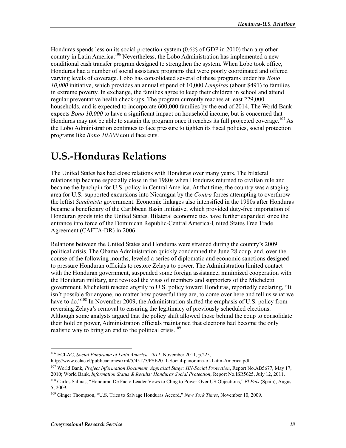Honduras spends less on its social protection system  $(0.6\%$  of GDP in 2010) than any other country in Latin America.<sup>106</sup> Nevertheless, the Lobo Administration has implemented a new conditional cash transfer program designed to strengthen the system. When Lobo took office, Honduras had a number of social assistance programs that were poorly coordinated and offered varying levels of coverage. Lobo has consolidated several of these programs under his *Bono* 10,000 initiative, which provides an annual stipend of 10,000 Lempiras (about \$491) to families in extreme poverty. In exchange, the families agree to keep their children in school and attend regular preventative health check-ups. The program currently reaches at least 229,000 households, and is expected to incorporate 600,000 families by the end of 2014. The World Bank expects *Bono 10,000* to have a significant impact on household income, but is concerned that Honduras may not be able to sustain the program once it reaches its full projected coverage.<sup>107</sup> As the Lobo Administration continues to face pressure to tighten its fiscal policies, social protection programs like *Bono 10,000* could face cuts.

# **U.S.-Honduras Relations**

The United States has had close relations with Honduras over many years. The bilateral relationship became especially close in the 1980s when Honduras returned to civilian rule and became the lynchpin for U.S. policy in Central America. At that time, the country was a staging area for U.S.-supported excursions into Nicaragua by the *Contra* forces attempting to overthrow the leftist *Sandinista* government. Economic linkages also intensified in the 1980s after Honduras became a beneficiary of the Caribbean Basin Initiative, which provided duty-free importation of Honduran goods into the United States. Bilateral economic ties have further expanded since the entrance into force of the Dominican Republic-Central America-United States Free Trade Agreement (CAFTA-DR) in 2006.

Relations between the United States and Honduras were strained during the country's 2009 political crisis. The Obama Administration quickly condemned the June 28 coup, and, over the course of the following months, leveled a series of diplomatic and economic sanctions designed to pressure Honduran officials to restore Zelaya to power. The Administration limited contact with the Honduran government, suspended some foreign assistance, minimized cooperation with the Honduran military, and revoked the visas of members and supporters of the Micheletti government. Micheletti reacted angrily to U.S. policy toward Honduras, reportedly declaring, "It isn't possible for anyone, no matter how powerful they are, to come over here and tell us what we have to do."<sup>108</sup> In November 2009, the Administration shifted the emphasis of U.S. policy from reversing Zelaya's removal to ensuring the legitimacy of previously scheduled elections. Although some analysts argued that the policy shift allowed those behind the coup to consolidate their hold on power, Administration officials maintained that elections had become the only realistic way to bring an end to the political crisis.<sup>109</sup>

<sup>&</sup>lt;sup>106</sup> ECLAC, Social Panorama of Latin America, 2011, November 2011, p.225,

http://www.eclac.cl/publicaciones/xml/5/45175/PSE2011-Social-panorama-of-Latin-America.pdf.

<sup>&</sup>lt;sup>107</sup> World Bank, Project Information Document, Appraisal Stage: HN-Social Protection, Report No.AB5677, May 17, 2010; World Bank, *Information Status & Results: Honduras Social Protection*, Report No.ISR5625, July 12, 2011.

<sup>&</sup>lt;sup>108</sup> Carlos Salinas, "Honduran De Facto Leader Vows to Cling to Power Over US Objections," El País (Spain), August 5, 2009.

<sup>&</sup>lt;sup>109</sup> Ginger Thompson, "U.S. Tries to Salvage Honduras Accord," New York Times, November 10, 2009.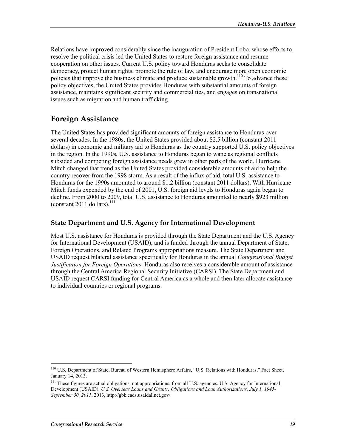Relations have improved considerably since the inauguration of President Lobo, whose efforts to resolve the political crisis led the United States to restore foreign assistance and resume cooperation on other issues. Current U.S. policy toward Honduras seeks to consolidate democracy, protect human rights, promote the rule of law, and encourage more open economic policies that improve the business climate and produce sustainable growth.<sup>110</sup> To advance these policy objectives, the United States provides Honduras with substantial amounts of foreign assistance, maintains significant security and commercial ties, and engages on transnational issues such as migration and human trafficking.

## **Foreign Assistance**

The United States has provided significant amounts of foreign assistance to Honduras over several decades. In the 1980s, the United States provided about \$2.5 billion (constant 2011 dollars) in economic and military aid to Honduras as the country supported U.S. policy objectives in the region. In the 1990s, U.S. assistance to Honduras began to wane as regional conflicts subsided and competing foreign assistance needs grew in other parts of the world. Hurricane Mitch changed that trend as the United States provided considerable amounts of aid to help the country recover from the 1998 storm. As a result of the influx of aid, total U.S. assistance to Honduras for the 1990s amounted to around \$1.2 billion (constant 2011 dollars). With Hurricane Mitch funds expended by the end of 2001, U.S. foreign aid levels to Honduras again began to decline. From 2000 to 2009, total U.S. assistance to Honduras amounted to nearly \$923 million (constant 2011 dollars). $^{111}$ 

### State Department and U.S. Agency for International Development

Most U.S. assistance for Honduras is provided through the State Department and the U.S. Agency for International Development (USAID), and is funded through the annual Department of State, Foreign Operations, and Related Programs appropriations measure. The State Department and USAID request bilateral assistance specifically for Honduras in the annual *Congressional Budget* Justification for Foreign Operations. Honduras also receives a considerable amount of assistance through the Central America Regional Security Initiative (CARSI). The State Department and USAID request CARSI funding for Central America as a whole and then later allocate assistance to individual countries or regional programs.

<sup>&</sup>lt;sup>110</sup> U.S. Department of State, Bureau of Western Hemisphere Affairs, "U.S. Relations with Honduras," Fact Sheet, January 14, 2013.

<sup>&</sup>lt;sup>111</sup> These figures are actual obligations, not appropriations, from all U.S. agencies. U.S. Agency for International Development (USAID), U.S. Overseas Loans and Grants: Obligations and Loan Authorizations, July 1, 1945-September 30, 2011, 2013, http://gbk.eads.usaidallnet.gov/.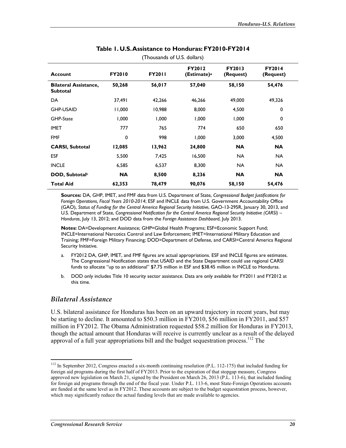| <b>Account</b>                                  | <b>FY2010</b> | <b>FY2011</b> | <b>FY2012</b><br>(Estimate) <sup>a</sup> | <b>FY2013</b><br>(Request) | <b>FY2014</b><br>(Request) |  |
|-------------------------------------------------|---------------|---------------|------------------------------------------|----------------------------|----------------------------|--|
| <b>Bilateral Assistance,</b><br><b>Subtotal</b> | 50,268        | 56,017        | 57,040                                   | 58,150                     | 54,476                     |  |
| <b>DA</b>                                       | 37,491        | 42.266        | 46.266                                   | 49,000                     | 49,326                     |  |
| <b>GHP-USAID</b>                                | 11,000        | 10,988        | 8,000                                    | 4,500                      | 0                          |  |
| GHP-State                                       | 1,000         | 1,000         | 000, 1                                   | 1,000                      | 0                          |  |
| <b>IMET</b>                                     | 777           | 765           | 774                                      | 650                        | 650                        |  |
| <b>FMF</b>                                      | 0             | 998           | 1,000                                    | 3,000                      | 4,500                      |  |
| <b>CARSI, Subtotal</b>                          | 12,085        | 13,962        | 24,800                                   | <b>NA</b>                  | <b>NA</b>                  |  |
| <b>ESF</b>                                      | 5,500         | 7,425         | 16,500                                   | NA.                        | NA.                        |  |
| <b>INCLE</b>                                    | 6,585         | 6,537         | 8,300                                    | <b>NA</b>                  | NA.                        |  |
| DOD, Subtotal <sup>b</sup>                      | <b>NA</b>     | 8,500         | 8,236                                    | <b>NA</b>                  | <b>NA</b>                  |  |
| <b>Total Aid</b>                                | 62,353        | 78,479        | 90,076                                   | 58,150                     | 54,476                     |  |

#### Table 1. U.S. Assistance to Honduras: FY2010-FY2014 (Thousands of U.S. dollars)

Sources: DA, GHP, IMET, and FMF data from U.S. Department of State, Congressional Budget Justifications for Foreign Operations, Fiscal Years 2010-2014; ESF and INCLE data from U.S. Government Accountability Office (GAO), Status of Funding for the Central America Regional Security Initiative, GAO-13-295R, January 30, 2013, and U.S. Department of State, Congressional Notification for the Central America Regional Security Initiative (CARSI) -Honduras, July 13, 2012; and DOD data from the Foreign Assistance Dashboard, July 2013.

Notes: DA=Development Assistance; GHP=Global Health Programs; ESF=Economic Support Fund; INCLE=International Narcotics Control and Law Enforcement; IMET=International Military Education and Training; FMF=Foreign Military Financing; DOD=Department of Defense, and CARSI=Central America Regional Security Initiative.

- FY2012 DA, GHP, IMET, and FMF figures are actual appropriations. ESF and INCLE figures are estimates.  $a<sub>z</sub>$ The Congressional Notification states that USAID and the State Department could use regional CARSI funds to allocate "up to an additional" \$7.75 million in ESF and \$38.45 million in INCLE to Honduras.
- DOD only includes Title 10 security sector assistance. Data are only available for FY2011 and FY2012 at  $h$ this time.

#### **Bilateral Assistance**

U.S. bilateral assistance for Honduras has been on an upward trajectory in recent years, but may be starting to decline. It amounted to \$50.3 million in FY2010, \$56 million in FY2011, and \$57 million in FY2012. The Obama Administration requested \$58.2 million for Honduras in FY2013, though the actual amount that Honduras will receive is currently unclear as a result of the delayed approval of a full year appropriations bill and the budget sequestration process.<sup>112</sup> The

 $^{112}$  In September 2012, Congress enacted a six-month continuing resolution (P.L. 112-175) that included funding for foreign aid programs during the first half of FY2013. Prior to the expiration of that stopgap measure, Congress approved new legislation on March 21, signed by the President on March 26, 2013 (P.L. 113-6), that included funding for foreign aid programs through the end of the fiscal year. Under P.L. 113-6, most State-Foreign Operations accounts are funded at the same level as in FY2012. These accounts are subject to the budget sequestration process, however, which may significantly reduce the actual funding levels that are made available to agencies.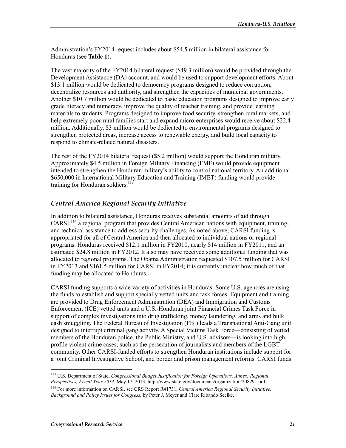Administration's FY2014 request includes about \$54.5 million in bilateral assistance for Honduras (see Table 1).

The vast majority of the FY2014 bilateral request (\$49.3 million) would be provided through the Development Assistance (DA) account, and would be used to support development efforts. About \$13.1 million would be dedicated to democracy programs designed to reduce corruption. decentralize resources and authority, and strengthen the capacities of municipal governments. Another \$10.7 million would be dedicated to basic education programs designed to improve early grade literacy and numeracy, improve the quality of teacher training, and provide learning materials to students. Programs designed to improve food security, strengthen rural markets, and help extremely poor rural families start and expand micro-enterprises would receive about \$22.4 million. Additionally, \$3 million would be dedicated to environmental programs designed to strengthen protected areas, increase access to renewable energy, and build local capacity to respond to climate-related natural disasters.

The rest of the FY2014 bilateral request (\$5.2 million) would support the Honduran military. Approximately \$4.5 million in Foreign Military Financing (FMF) would provide equipment intended to strengthen the Honduran military's ability to control national territory. An additional \$650,000 in International Military Education and Training (IMET) funding would provide training for Honduran soldiers.<sup>113</sup>

### Central America Regional Security Initiative

In addition to bilateral assistance, Honduras receives substantial amounts of aid through  $CARSI<sub>1</sub><sup>114</sup>$  a regional program that provides Central American nations with equipment, training, and technical assistance to address security challenges. As noted above, CARSI funding is appropriated for all of Central America and then allocated to individual nations or regional programs. Honduras received \$12.1 million in FY2010, nearly \$14 million in FY2011, and an estimated \$24.8 million in FY2012. It also may have received some additional funding that was allocated to regional programs. The Obama Administration requested \$107.5 million for CARSI in FY2013 and \$161.5 million for CARSI in FY2014; it is currently unclear how much of that funding may be allocated to Honduras.

CARSI funding supports a wide variety of activities in Honduras. Some U.S. agencies are using the funds to establish and support specially vetted units and task forces. Equipment and training are provided to Drug Enforcement Administration (DEA) and Immigration and Customs Enforcement (ICE) vetted units and a U.S.-Honduran joint Financial Crimes Task Force in support of complex investigations into drug trafficking, money laundering, and arms and bulk cash smuggling. The Federal Bureau of Investigation (FBI) leads a Transnational Anti-Gang unit designed to interrupt criminal gang activity. A Special Victims Task Force—consisting of vetted members of the Honduran police, the Public Ministry, and U.S. advisors—is looking into high profile violent crime cases, such as the persecution of journalists and members of the LGBT community. Other CARSI-funded efforts to strengthen Honduran institutions include support for a joint Criminal Investigative School, and border and prison management reforms. CARSI funds

<sup>&</sup>lt;sup>113</sup> U.S. Department of State, Congressional Budget Justification for Foreign Operations, Annex: Regional Perspectives, Fiscal Year 2014, May 17, 2013, http://www.state.gov/documents/organization/208291.pdf. <sup>114</sup> For more information on CARSI, see CRS Report R41731, *Central America Regional Security Initiative*:

Background and Policy Issues for Congress, by Peter J. Meyer and Clare Ribando Seelke.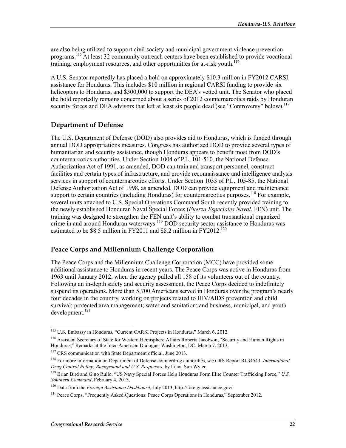are also being utilized to support civil society and municipal government violence prevention programs.<sup>115</sup> At least 32 community outreach centers have been established to provide vocational training, employment resources, and other opportunities for at-risk youth.  $116$ 

A U.S. Senator reportedly has placed a hold on approximately \$10.3 million in FY2012 CARSI assistance for Honduras. This includes \$10 million in regional CARSI funding to provide six helicopters to Honduras, and \$300,000 to support the DEA's vetted unit. The Senator who placed the hold reportedly remains concerned about a series of 2012 counternarcotics raids by Honduran security forces and DEA advisors that left at least six people dead (see "Controversy" below).<sup>117</sup>

#### **Department of Defense**

The U.S. Department of Defense (DOD) also provides aid to Honduras, which is funded through annual DOD appropriations measures. Congress has authorized DOD to provide several types of humanitarian and security assistance, though Honduras appears to benefit most from DOD's counternarcotics authorities. Under Section 1004 of P.L. 101-510, the National Defense Authorization Act of 1991, as amended, DOD can train and transport personnel, construct facilities and certain types of infrastructure, and provide reconnaissance and intelligence analysis services in support of counternarcotics efforts. Under Section 1033 of P.L. 105-85, the National Defense Authorization Act of 1998, as amended, DOD can provide equipment and maintenance support to certain countries (including Honduras) for counternarcotics purposes.<sup>118</sup> For example, several units attached to U.S. Special Operations Command South recently provided training to the newly established Honduran Naval Special Forces (Fuerza Especiales Naval, FEN) unit. The training was designed to strengthen the FEN unit's ability to combat transnational organized crime in and around Honduran waterways.<sup>119</sup> DOD security sector assistance to Honduras was estimated to be \$8.5 million in FY2011 and \$8.2 million in FY2012.<sup>120</sup>

#### Peace Corps and Millennium Challenge Corporation

The Peace Corps and the Millennium Challenge Corporation (MCC) have provided some additional assistance to Honduras in recent years. The Peace Corps was active in Honduras from 1963 until January 2012, when the agency pulled all 158 of its volunteers out of the country. Following an in-depth safety and security assessment, the Peace Corps decided to indefinitely suspend its operations. More than 5,700 Americans served in Honduras over the program's nearly four decades in the country, working on projects related to HIV/AIDS prevention and child survival; protected area management; water and sanitation; and business, municipal, and youth  $development.<sup>121</sup>$ 

<sup>&</sup>lt;sup>115</sup> U.S. Embassy in Honduras, "Current CARSI Projects in Honduras," March 6, 2012.

<sup>&</sup>lt;sup>116</sup> Assistant Secretary of State for Western Hemisphere Affairs Roberta Jacobson, "Security and Human Rights in Honduras," Remarks at the Inter-American Dialogue, Washington, DC, March 7, 2013.

<sup>&</sup>lt;sup>117</sup> CRS communication with State Department official, June 2013.

<sup>&</sup>lt;sup>118</sup> For more information on Department of Defense counterdrug authorities, see CRS Report RL34543, *International* Drug Control Policy: Background and U.S. Responses, by Liana Sun Wyler.

<sup>&</sup>lt;sup>119</sup> Brian Bird and Gino Rullo, "US Navy Special Forces Help Honduras Form Elite Counter Trafficking Force," U.S. Southern Command, February 4, 2013.

 $120$  Data from the *Foreign Assistance Dashboard*, July 2013, http://foreignassistance.gov/.

<sup>&</sup>lt;sup>121</sup> Peace Corps, "Frequently Asked Questions: Peace Corps Operations in Honduras," September 2012.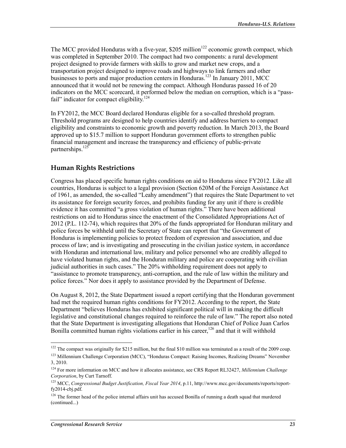The MCC provided Honduras with a five-year, \$205 million<sup>122</sup> economic growth compact, which was completed in September 2010. The compact had two components: a rural development project designed to provide farmers with skills to grow and market new crops, and a transportation project designed to improve roads and highways to link farmers and other businesses to ports and major production centers in Honduras.<sup>123</sup> In January 2011, MCC announced that it would not be renewing the compact. Although Honduras passed 16 of 20 indicators on the MCC scorecard, it performed below the median on corruption, which is a "passfail" indicator for compact eligibility.<sup>124</sup>

In FY2012, the MCC Board declared Honduras eligible for a so-called threshold program. Threshold programs are designed to help countries identify and address barriers to compact eligibility and constraints to economic growth and poverty reduction. In March 2013, the Board approved up to \$15.7 million to support Honduran government efforts to strengthen public financial management and increase the transparency and efficiency of public-private partnerships.<sup>125</sup>

#### **Human Rights Restrictions**

Congress has placed specific human rights conditions on aid to Honduras since FY2012. Like all countries. Honduras is subject to a legal provision (Section 620M of the Foreign Assistance Act of 1961, as amended, the so-called "Leahy amendment") that requires the State Department to vet its assistance for foreign security forces, and prohibits funding for any unit if there is credible evidence it has committed "a gross violation of human rights." There have been additional restrictions on aid to Honduras since the enactment of the Consolidated Appropriations Act of 2012 (P.L. 112-74), which requires that 20% of the funds appropriated for Honduran military and police forces be withheld until the Secretary of State can report that "the Government of Honduras is implementing policies to protect freedom of expression and association, and due process of law; and is investigating and prosecuting in the civilian justice system, in accordance with Honduran and international law, military and police personnel who are credibly alleged to have violated human rights, and the Honduran military and police are cooperating with civilian judicial authorities in such cases." The 20% withholding requirement does not apply to "assistance to promote transparency, anti-corruption, and the rule of law within the military and police forces." Nor does it apply to assistance provided by the Department of Defense.

On August 8, 2012, the State Department issued a report certifying that the Honduran government had met the required human rights conditions for FY2012. According to the report, the State Department "believes Honduras has exhibited significant political will in making the difficult legislative and constitutional changes required to reinforce the rule of law." The report also noted that the State Department is investigating allegations that Honduran Chief of Police Juan Carlos Bonilla committed human rights violations earlier in his career,<sup>126</sup> and that it will withhold

<sup>&</sup>lt;sup>122</sup> The compact was originally for \$215 million, but the final \$10 million was terminated as a result of the 2009 coup. <sup>123</sup> Millennium Challenge Corporation (MCC), "Honduras Compact: Raising Incomes, Realizing Dreams" November 3, 2010.

<sup>&</sup>lt;sup>124</sup> For more information on MCC and how it allocates assistance, see CRS Report RL32427, Millennium Challenge Corporation, by Curt Tarnoff.

<sup>&</sup>lt;sup>125</sup> MCC, Congressional Budget Justification, Fiscal Year 2014, p.11, http://www.mcc.gov/documents/reports/reportfy2014-cbj.pdf.

<sup>&</sup>lt;sup>126</sup> The former head of the police internal affairs unit has accused Bonilla of running a death squad that murdered (continued...)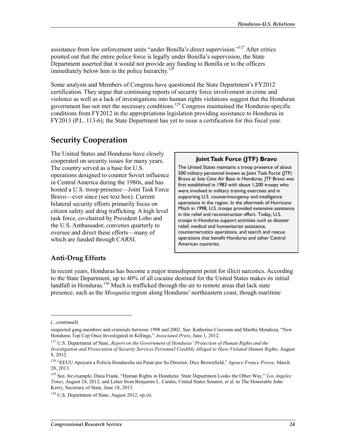assistance from law enforcement units "under Bonilla's direct supervision."<sup>127</sup> After critics pointed out that the entire police force is legally under Bonilla's supervision, the State Department asserted that it would not provide any funding to Bonilla or to the officers immediately below him in the police hierarchy.<sup>128</sup>

Some analysts and Members of Congress have questioned the State Department's FY2012 certification. They argue that continuing reports of security force involvement in crime and violence as well as a lack of investigations into human rights violations suggest that the Honduran government has not met the necessary conditions.<sup>129</sup> Congress maintained the Honduras-specific conditions from FY2012 in the appropriations legislation providing assistance to Honduras in FY2013 (P.L. 113-6); the State Department has yet to issue a certification for this fiscal year.

## **Security Cooperation**

The United States and Honduras have closely cooperated on security issues for many years. The country served as a base for U.S. operations designed to counter Soviet influence in Central America during the 1980s, and has hosted a U.S. troop presence—Joint Task Force Bravo—ever since (see text box). Current bilateral security efforts primarily focus on citizen safety and drug trafficking. A high level task force, co-chaired by President Lobo and the U.S. Ambassador, convenes quarterly to oversee and direct these efforts—many of which are funded through CARSI.

#### Joint Task Force (JTF) Bravo

The United States maintains a troop presence of about 500 military personnel known as Joint Task Force (JTF) Bravo at Soto Cano Air Base in Honduras. JTF Bravo was first established in 1983 with about 1,200 troops who were involved in military training exercises and in supporting U.S. counterinsurgency and intelligence operations in the region. In the aftermath of Hurricane Mitch in 1998, U.S. troops provided extensive assistance in the relief and reconstruction effort. Today, U.S. troops in Honduras support activities such as disaster relief, medical and humanitarian assistance, counternarcotics operations, and search and rescue operations that benefit Honduras and other Central American countries.

### **Anti-Drug Efforts**

In recent years, Honduras has become a major transshipment point for illicit narcotics. According to the State Department, up to 40% of all cocaine destined for the United States makes its initial landfall in Honduras.<sup>130</sup> Much is trafficked through the air to remote areas that lack state presence, such as the *Mosquitia* region along Honduras' northeastern coast, though maritime

<sup>(...</sup>continued)

suspected gang members and criminals between 1998 and 2002. See: Katherine Corcoran and Martha Mendoza, "New Honduras Top Cop Once Investigated in Killings," Associated Press, June 1, 2012.

<sup>&</sup>lt;sup>127</sup> U.S. Department of State, Report on the Government of Honduras' Protection of Human Rights and the Investigation and Prosecution of Security Services Personnel Credibly Alleged to Have Violated Human Rights, August 8, 2012.

<sup>&</sup>lt;sup>128</sup> "EEUU Apoyará a Policía Hondureña sin Pasar por Su Director, Dice Brownfield," Agence France Presse, March 28, 2013.

<sup>&</sup>lt;sup>129</sup> See, for example, Dana Frank, "Human Rights in Honduras: State Department Looks the Other Way," Los Angeles Times, August 24, 2012; and Letter from Benjamin L. Cardin, United States Senator, et al. to The Honorable John Kerry, Secretary of State, June 18, 2013.

<sup>&</sup>lt;sup>130</sup> U.S. Department of State, August 2012, op.cit.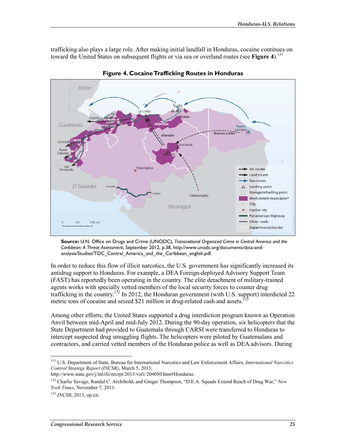trafficking also plays a large role. After making initial landfall in Honduras, cocaine continues on toward the United States on subsequent flights or via sea or overland routes (see Figure 4).<sup>131</sup>



Figure 4. Cocaine Trafficking Routes in Honduras

Source: U.N. Office on Drugs and Crime (UNODC), Transnational Organized Crime in Central America and the Caribbean: A Threat Assessment, September 2012, p.38, http://www.unodc.org/documents/data-andanalysis/Studies/TOC Central America and the Caribbean english.pdf.

In order to reduce this flow of illicit narcotics, the U.S. government has significantly increased its antidrug support to Honduras. For example, a DEA Foreign-deployed Advisory Support Team (FAST) has reportedly been operating in the country. The elite detachment of military-trained agents works with specially vetted members of the local security forces to counter drug<br>trafficking in the country.<sup>132</sup> In 2012, the Honduran government (with U.S. support) interdicted 22 metric tons of cocaine and seized \$21 million in drug-related cash and assets.<sup>13</sup>

Among other efforts, the United States supported a drug interdiction program known as Operation Anvil between mid-April and mid-July 2012. During the 90-day operation, six helicopters that the State Department had provided to Guatemala through CARSI were transferred to Honduras to intercept suspected drug smuggling flights. The helicopters were piloted by Guatemalans and contractors, and carried vetted members of the Honduran police as well as DEA advisors. During

<sup>&</sup>lt;sup>131</sup> U.S. Department of State, Bureau for International Narcotics and Law Enforcement Affairs, *International Narcotics* Control Strategy Report (INCSR), March 5, 2013,

http://www.state.gov/j/inl/rls/nrcrpt/2013/vol1/204050.htm#Honduras.

<sup>&</sup>lt;sup>132</sup> Charlie Savage, Randal C. Archibold, and Ginger Thompson, "D.E.A. Squads Extend Reach of Drug War," New York Times, November 7, 2011.

 $133$  INCSR, 2013, op.cit.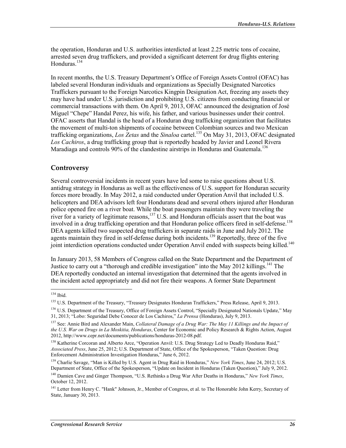the operation, Honduran and U.S. authorities interdicted at least 2.25 metric tons of cocaine, arrested seven drug traffickers, and provided a significant deterrent for drug flights entering Honduras $134$ 

In recent months, the U.S. Treasury Department's Office of Foreign Assets Control (OFAC) has labeled several Honduran individuals and organizations as Specially Designated Narcotics Traffickers pursuant to the Foreign Narcotics Kingpin Designation Act, freezing any assets they may have had under U.S. jurisdiction and prohibiting U.S. citizens from conducting financial or commercial transactions with them. On April 9, 2013, OFAC announced the designation of José Miguel "Chepe" Handal Perez, his wife, his father, and various businesses under their control. OFAC asserts that Handal is the head of a Honduran drug trafficking organization that facilitates the movement of multi-ton shipments of cocaine between Colombian sources and two Mexican trafficking organizations, Los Zetas and the Sinaloa cartel.<sup>135</sup> On May 31, 2013, OFAC designated Los Cachiros, a drug trafficking group that is reportedly headed by Javier and Leonel Rivera Maradiaga and controls 90% of the clandestine airstrips in Honduras and Guatemala.<sup>136</sup>

### Controversy

Several controversial incidents in recent years have led some to raise questions about U.S. antidrug strategy in Honduras as well as the effectiveness of U.S. support for Honduran security forces more broadly. In May 2012, a raid conducted under Operation Anvil that included U.S. helicopters and DEA advisors left four Hondurans dead and several others injured after Honduran police opened fire on a river boat. While the boat passengers maintain they were traveling the river for a variety of legitimate reasons,  $137$  U.S. and Honduran officials assert that the boat was involved in a drug trafficking operation and that Honduran police officers fired in self-defense.<sup>138</sup> DEA agents killed two suspected drug traffickers in separate raids in June and July 2012. The agents maintain they fired in self-defense during both incidents.<sup>139</sup> Reportedly, three of the five joint interdiction operations conducted under Operation Anvil ended with suspects being killed.<sup>140</sup>

In January 2013, 58 Members of Congress called on the State Department and the Department of Justice to carry out a "thorough and credible investigation" into the May 2012 killings.<sup>141</sup> The DEA reportedly conducted an internal investigation that determined that the agents involved in the incident acted appropriately and did not fire their weapons. A former State Department

 $134$  Ibid.

<sup>&</sup>lt;sup>135</sup> U.S. Department of the Treasury, "Treasury Designates Honduran Traffickers," Press Release, April 9, 2013.

<sup>&</sup>lt;sup>136</sup> U.S. Department of the Treasury, Office of Foreign Assets Control, "Specially Designated Nationals Update," May 31, 2013; "Lobo: Seguridad Debe Conocer de Los Cachiros," La Prensa (Honduras), July 9, 2013.

<sup>&</sup>lt;sup>137</sup> See: Annie Bird and Alexander Main, Collateral Damage of a Drug War: The May 11 Killings and the Impact of the U.S. War on Drugs in La Moskitia, Honduras, Center for Economic and Policy Research & Rights Action, August 2012, http://www.cepr.net/documents/publications/honduras-2012-08.pdf.

<sup>&</sup>lt;sup>138</sup> Katherine Corcoran and Alberto Arce, "Operation Anvil: U.S. Drug Strategy Led to Deadly Honduras Raid," Associated Press, June 25, 2012; U.S. Department of State, Office of the Spokesperson, "Taken Question: Drug Enforcement Administration Investigation Honduras," June 6, 2012.

<sup>&</sup>lt;sup>139</sup> Charlie Savage, "Man is Killed by U.S. Agent in Drug Raid in Honduras," New York Times, June 24, 2012; U.S. Department of State, Office of the Spokesperson, "Update on Incident in Honduras (Taken Question)," July 9, 2012.

<sup>&</sup>lt;sup>140</sup> Damien Cave and Ginger Thompson, "U.S. Rethinks a Drug War After Deaths in Honduras," New York Times, October 12, 2012.

<sup>&</sup>lt;sup>141</sup> Letter from Henry C. "Hank" Johnson, Jr., Member of Congress, et al. to The Honorable John Kerry, Secretary of State, January 30, 2013.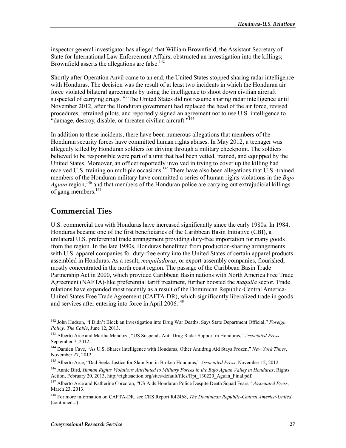inspector general investigator has alleged that William Brownfield, the Assistant Secretary of State for International Law Enforcement Affairs, obstructed an investigation into the killings; Brownfield asserts the allegations are false.<sup>142</sup>

Shortly after Operation Anvil came to an end, the United States stopped sharing radar intelligence with Honduras. The decision was the result of at least two incidents in which the Honduran air force violated bilateral agreements by using the intelligence to shoot down civilian aircraft suspected of carrying drugs.<sup>143</sup> The United States did not resume sharing radar intelligence until November 2012, after the Honduran government had replaced the head of the air force, revised procedures, retrained pilots, and reportedly signed an agreement not to use U.S. intelligence to "damage, destroy, disable, or threaten civilian aircraft."<sup>144</sup>

In addition to these incidents, there have been numerous allegations that members of the Honduran security forces have committed human rights abuses. In May 2012, a teenager was allegedly killed by Honduran soldiers for driving through a military checkpoint. The soldiers believed to be responsible were part of a unit that had been vetted, trained, and equipped by the United States. Moreover, an officer reportedly involved in trying to cover up the killing had received U.S. training on multiple occasions.<sup>145</sup> There have also been allegations that U.S.-trained members of the Honduran military have committed a series of human rights violations in the Bajo Aguan region,<sup>146</sup> and that members of the Honduran police are carrying out extrajudicial killings of gang members.<sup>147</sup>

## **Commercial Ties**

U.S. commercial ties with Honduras have increased significantly since the early 1980s. In 1984, Honduras became one of the first beneficiaries of the Caribbean Basin Initiative (CBI), a unilateral U.S. preferential trade arrangement providing duty-free importation for many goods from the region. In the late 1980s, Honduras benefitted from production-sharing arrangements with U.S. apparel companies for duty-free entry into the United States of certain apparel products assembled in Honduras. As a result, *maquiladoras*, or export-assembly companies, flourished, mostly concentrated in the north coast region. The passage of the Caribbean Basin Trade Partnership Act in 2000, which provided Caribbean Basin nations with North America Free Trade Agreement (NAFTA)-like preferential tariff treatment, further boosted the *maquila* sector. Trade relations have expanded most recently as a result of the Dominican Republic-Central America-United States Free Trade Agreement (CAFTA-DR), which significantly liberalized trade in goods and services after entering into force in April 2006.<sup>148</sup>

<sup>&</sup>lt;sup>142</sup> John Hudson, "I Didn't Block an Investigation into Drug War Deaths, Says State Department Official," Foreign Policy: The Cable, June 12, 2013.

<sup>&</sup>lt;sup>143</sup> Alberto Arce and Martha Mendoza, "US Suspends Anti-Drug Radar Support in Honduras," Associated Press, September 7, 2012.

<sup>&</sup>lt;sup>144</sup> Damien Cave, "As U.S. Shares Intelligence with Honduras, Other Antidrug Aid Stays Frozen," New York Times, November 27, 2012.

<sup>&</sup>lt;sup>145</sup> Alberto Arce, "Dad Seeks Justice for Slain Son in Broken Honduras," Associated Press, November 12, 2012.

<sup>&</sup>lt;sup>146</sup> Annie Bird, *Human Rights Violations Attributed to Military Forces in the Bajo Aguan Valley in Honduras, Rights* Action, February 20, 2013, http://rightsaction.org/sites/default/files/Rpt 130220 Aguan Final.pdf.

<sup>&</sup>lt;sup>147</sup> Alberto Arce and Katherine Corcoran, "US Aids Honduran Police Despite Death Squad Fears," Associated Press, March 23, 2013.

<sup>&</sup>lt;sup>148</sup> For more information on CAFTA-DR, see CRS Report R42468, The Dominican Republic-Central America-United (continued...)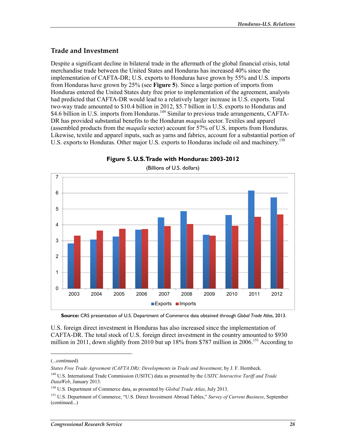### **Trade and Investment**

Despite a significant decline in bilateral trade in the aftermath of the global financial crisis, total merchandise trade between the United States and Honduras has increased 40% since the implementation of CAFTA-DR; U.S. exports to Honduras have grown by 55% and U.S. imports from Honduras have grown by  $25\%$  (see Figure 5). Since a large portion of imports from Honduras entered the United States duty free prior to implementation of the agreement, analysts had predicted that CAFTA-DR would lead to a relatively larger increase in U.S. exports. Total two-way trade amounted to \$10.4 billion in 2012, \$5.7 billion in U.S. exports to Honduras and \$4.6 billion in U.S. imports from Honduras.<sup>149</sup> Similar to previous trade arrangements, CAFTA-DR has provided substantial benefits to the Honduran *maquila* sector. Textiles and apparel (assembled products from the *maquila* sector) account for 57% of U.S. imports from Honduras. Likewise, textile and apparel inputs, such as yarns and fabrics, account for a substantial portion of U.S. exports to Honduras. Other major U.S. exports to Honduras include oil and machinery.<sup>150</sup>



Figure 5. U.S. Trade with Honduras: 2003-2012 (Billions of U.S. dollars)

Source: CRS presentation of U.S. Department of Commerce data obtained through Global Trade Atlas, 2013.

U.S. foreign direct investment in Honduras has also increased since the implementation of CAFTA-DR. The total stock of U.S. foreign direct investment in the country amounted to \$930 million in 2011, down slightly from 2010 but up 18% from \$787 million in 2006.<sup>151</sup> According to

<sup>(...</sup>continued)

States Free Trade Agreement (CAFTA DR): Developments in Trade and Investment, by J. F. Hornbeck.

<sup>&</sup>lt;sup>149</sup> U.S. International Trade Commission (USITC) data as presented by the USITC Interactive Tariff and Trade DataWeb, January 2013.

<sup>&</sup>lt;sup>150</sup> U.S. Department of Commerce data, as presented by *Global Trade Atlas*, July 2013.

<sup>&</sup>lt;sup>151</sup> U.S. Department of Commerce, "U.S. Direct Investment Abroad Tables," Survey of Current Business, September (continued...)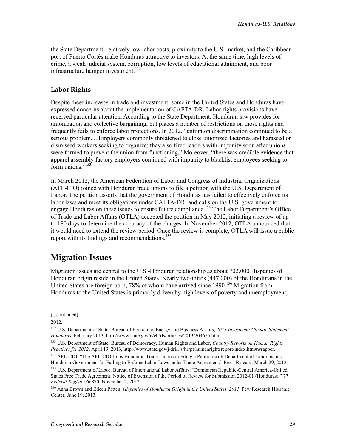the State Department, relatively low labor costs, proximity to the U.S. market, and the Caribbean port of Puerto Cortés make Honduras attractive to investors. At the same time, high levels of crime, a weak judicial system, corruption, low levels of educational attainment, and poor infrastructure hamper investment.<sup>152</sup>

## **Labor Rights**

Despite these increases in trade and investment, some in the United States and Honduras have expressed concerns about the implementation of CAFTA-DR. Labor rights provisions have received particular attention. According to the State Department, Honduran law provides for unionization and collective bargaining, but places a number of restrictions on those rights and frequently fails to enforce labor protections. In 2012, "antiunion discrimination continued to be a serious problem.... Employers commonly threatened to close unionized factories and harassed or dismissed workers seeking to organize; they also fired leaders with impunity soon after unions were formed to prevent the union from functioning." Moreover, "there was credible evidence that apparel assembly factory employers continued with impunity to blacklist employees seeking to  $\widehat{\text{form}}$  unions  $\frac{153}{2}$ 

In March 2012, the American Federation of Labor and Congress of Industrial Organizations (AFL-CIO) joined with Honduran trade unions to file a petition with the U.S. Department of Labor. The petition asserts that the government of Honduras has failed to effectively enforce its labor laws and meet its obligations under CAFTA-DR, and calls on the U.S. government to engage Honduras on these issues to ensure future compliance.<sup>154</sup> The Labor Department's Office of Trade and Labor Affairs (OTLA) accepted the petition in May 2012, initiating a review of up to 180 days to determine the accuracy of the charges. In November 2012, OTLA announced that it would need to extend the review period. Once the review is complete, OTLA will issue a public report with its findings and recommendations.<sup>155</sup>

## **Migration Issues**

Migration issues are central to the U.S.-Honduran relationship as about 702,000 Hispanics of Honduran origin reside in the United States. Nearly two-thirds (447,000) of the Hondurans in the United States are foreign born, 78% of whom have arrived since 1990.<sup>156</sup> Migration from Honduras to the United States is primarily driven by high levels of poverty and unemployment,

<sup>(...</sup>continued)

<sup>2012.</sup> 

<sup>&</sup>lt;sup>152</sup> U.S. Department of State, Bureau of Economic, Energy and Business Affairs, 2013 Investment Climate Statement -Honduras, February 2013, http://www.state.gov/e/eb/rls/othr/ics/2013/204655.htm.

<sup>&</sup>lt;sup>153</sup> U.S. Department of State, Bureau of Democracy, Human Rights and Labor, *Country Reports on Human Rights* Practices for 2012, April 19, 2013, http://www.state.gov/j/drl/rls/hrrpt/humanrightsreport/index.htm#wrapper.

<sup>&</sup>lt;sup>154</sup> AFL-CIO, "The AFL-CIO Joins Honduran Trade Unions in Filing a Petition with Department of Labor against Honduran Government for Failing to Enforce Labor Laws under Trade Agreement," Press Release, March 29, 2012.

<sup>&</sup>lt;sup>155</sup> U.S. Department of Labor, Bureau of International Labor Affairs, "Dominican Republic-Central America-United States Free Trade Agreement; Notice of Extension of the Period of Review for Submission 2012-01 (Honduras)," 77 Federal Register 66870, November 7, 2012.

<sup>&</sup>lt;sup>156</sup> Anna Brown and Eileen Patten, *Hispanics of Honduran Origin in the United States, 2011*, Pew Research Hispanic Center, June 19, 2013.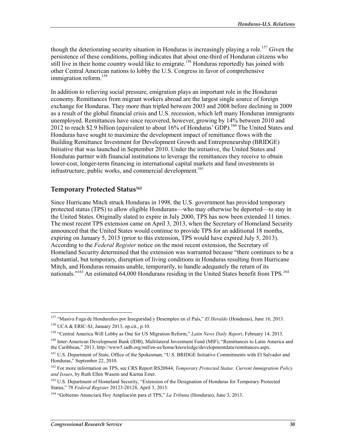though the deteriorating security situation in Honduras is increasingly playing a role.<sup>157</sup> Given the persistence of these conditions, polling indicates that about one-third of Honduran citizens who still live in their home country would like to emigrate.<sup>158</sup> Honduras reportedly has joined with other Central American nations to lobby the U.S. Congress in favor of comprehensive immigration reform.<sup>159</sup>

In addition to relieving social pressure, emigration plays an important role in the Honduran economy. Remittances from migrant workers abroad are the largest single source of foreign exchange for Honduras. They more than tripled between 2003 and 2008 before declining in 2009 as a result of the global financial crisis and U.S. recession, which left many Honduran immigrants unemployed. Remittances have since recovered, however, growing by 14% between 2010 and 2012 to reach \$2.9 billion (equivalent to about 16% of Honduras' GDP).<sup>160</sup> The United States and Honduras have sought to maximize the development impact of remittance flows with the Building Remittance Investment for Development Growth and Entrepreneurship (BRIDGE) Initiative that was launched in September 2010. Under the initiative, the United States and Honduras partner with financial institutions to leverage the remittances they receive to obtain lower-cost, longer-term financing in international capital markets and fund investments in infrastructure, public works, and commercial development.<sup>161</sup>

### Temporary Protected Status<sup>162</sup>

Since Hurricane Mitch struck Honduras in 1998, the U.S. government has provided temporary protected status (TPS) to allow eligible Hondurans—who may otherwise be deported—to stay in the United States. Originally slated to expire in July 2000, TPS has now been extended 11 times. The most recent TPS extension came on April 3, 2013, when the Secretary of Homeland Security announced that the United States would continue to provide TPS for an additional 18 months, expiring on January 5, 2015 (prior to this extension, TPS would have expired July 5, 2013). According to the Federal Register notice on the most recent extension, the Secretary of Homeland Security determined that the extension was warranted because "there continues to be a substantial, but temporary, disruption of living conditions in Honduras resulting from Hurricane Mitch, and Honduras remains unable, temporarily, to handle adequately the return of its nationals."<sup>163</sup> An estimated 64,000 Hondurans residing in the United States benefit from TPS.<sup>164</sup>

<sup>&</sup>lt;sup>157</sup> "Masiva Fuga de Hondureños por Inseguridad y Desempleo en el País," El Heraldo (Honduras), June 16, 2013. <sup>158</sup> UCA & ERIC-SJ, January 2013, op.cit., p.10.

<sup>&</sup>lt;sup>159</sup> "Central America Will Lobby as One for US Migration Reform," Latin News Daily Report, February 14, 2013.

<sup>&</sup>lt;sup>160</sup> Inter-American Development Bank (IDB), Multilateral Investment Fund (MIF), "Remittances to Latin America and the Caribbean," 2013, http://www5.iadb.org/mif/en-us/home/knowledge/developmentdata/remittances.aspx.

<sup>&</sup>lt;sup>161</sup> U.S. Department of State, Office of the Spokesman, "U.S. BRIDGE Initiative Commitments with El Salvador and Honduras," September 22, 2010.

<sup>&</sup>lt;sup>162</sup> For more information on TPS, see CRS Report RS20844, Temporary Protected Status: Current Immigration Policy and Issues, by Ruth Ellen Wasem and Karma Ester.

<sup>&</sup>lt;sup>163</sup> U.S. Department of Homeland Security, "Extension of the Designation of Honduras for Temporary Protected Status," 78 Federal Register 20123-20128, April 3, 2013.

<sup>&</sup>lt;sup>164</sup> "Gobierno Anunciará Hoy Ampliación para el TPS," La Tribuna (Honduras), June 3, 2013.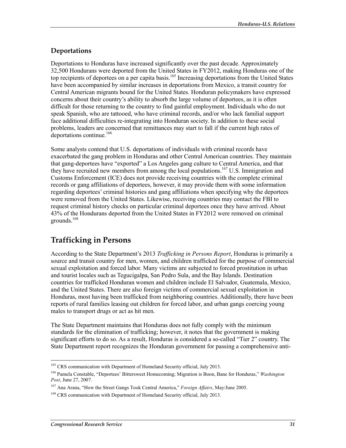## Deportations

Deportations to Honduras have increased significantly over the past decade. Approximately 32,500 Hondurans were deported from the United States in FY2012, making Honduras one of the top recipients of deportees on a per capita basis.<sup>165</sup> Increasing deportations from the United States have been accompanied by similar increases in deportations from Mexico, a transit country for Central American migrants bound for the United States. Honduran policymakers have expressed concerns about their country's ability to absorb the large volume of deportees, as it is often difficult for those returning to the country to find gainful employment. Individuals who do not speak Spanish, who are tattooed, who have criminal records, and/or who lack familial support face additional difficulties re-integrating into Honduran society. In addition to these social problems, leaders are concerned that remittances may start to fall if the current high rates of deportations continue.<sup>166</sup>

Some analysts contend that U.S. deportations of individuals with criminal records have exacerbated the gang problem in Honduras and other Central American countries. They maintain that gang-deportees have "exported" a Los Angeles gang culture to Central America, and that they have recruited new members from among the local populations.<sup>167</sup> U.S. Immigration and Customs Enforcement (ICE) does not provide receiving countries with the complete criminal records or gang affiliations of deportees, however, it may provide them with some information regarding deportees' criminal histories and gang affiliations when specifying why the deportees were removed from the United States. Likewise, receiving countries may contact the FBI to request criminal history checks on particular criminal deportees once they have arrived. About 43% of the Hondurans deported from the United States in FY2012 were removed on criminal grounds. $168$ 

## **Trafficking in Persons**

According to the State Department's 2013 Trafficking in Persons Report, Honduras is primarily a source and transit country for men, women, and children trafficked for the purpose of commercial sexual exploitation and forced labor. Many victims are subjected to forced prostitution in urban and tourist locales such as Tegucigalpa, San Pedro Sula, and the Bay Islands. Destination countries for trafficked Honduran women and children include El Salvador, Guatemala, Mexico, and the United States. There are also foreign victims of commercial sexual exploitation in Honduras, most having been trafficked from neighboring countries. Additionally, there have been reports of rural families leasing out children for forced labor, and urban gangs coercing young males to transport drugs or act as hit men.

The State Department maintains that Honduras does not fully comply with the minimum standards for the elimination of trafficking; however, it notes that the government is making significant efforts to do so. As a result, Honduras is considered a so-called "Tier 2" country. The State Department report recognizes the Honduran government for passing a comprehensive anti-

<sup>&</sup>lt;sup>165</sup> CRS communication with Department of Homeland Security official, July 2013.

<sup>&</sup>lt;sup>166</sup> Pamela Constable, "Deportees' Bittersweet Homecoming; Migration is Boon, Bane for Honduras," *Washington* Post, June 27, 2007.

<sup>&</sup>lt;sup>167</sup> Ana Arana, "How the Street Gangs Took Central America," *Foreign Affairs*, May/June 2005.

<sup>&</sup>lt;sup>168</sup> CRS communication with Department of Homeland Security official, July 2013.